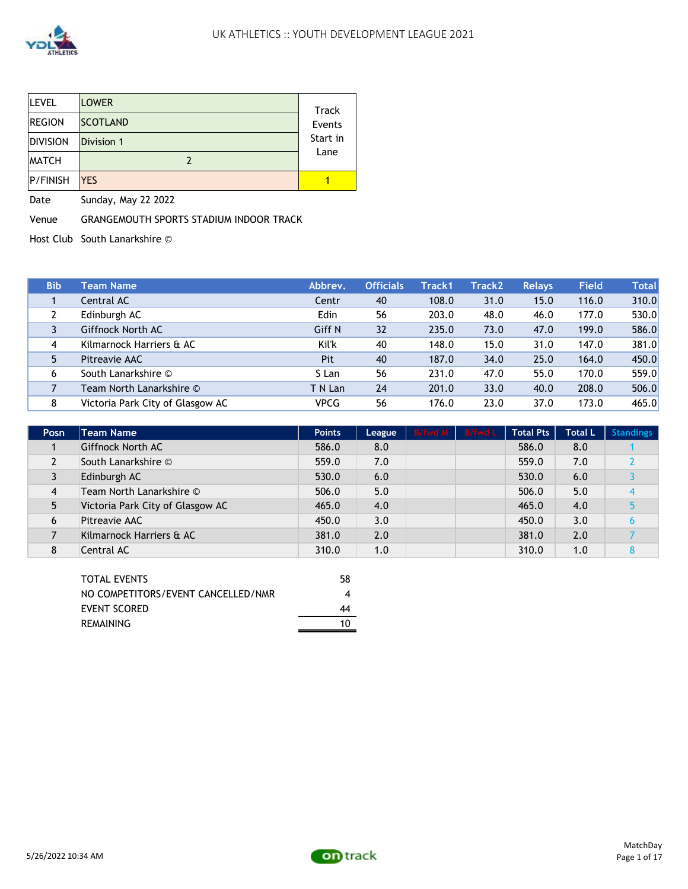

| <b>LEVEL</b>    | <b>LOWER</b>    | <b>Track</b> |
|-----------------|-----------------|--------------|
| REGION          | <b>SCOTLAND</b> | Events       |
| <b>DIVISION</b> | Division 1      | Start in     |
| <b>MATCH</b>    |                 | Lane         |
| P/FINISH        | <b>YES</b>      |              |

Date Sunday, May 22 2022

Venue GRANGEMOUTH SPORTS STADIUM INDOOR TRACK

Host Club South Lanarkshire ©

| <b>Bib</b> | <b>Team Name</b>                 | Abbrev. | <b>Officials</b> | Track1 | Track2 | <b>Relays</b> | <b>Field</b> | Total |
|------------|----------------------------------|---------|------------------|--------|--------|---------------|--------------|-------|
|            | Central AC                       | Centr   | 40               | 108.0  | 31.0   | 15.0          | 116.0        | 310.0 |
|            | Edinburgh AC                     | Edin    | 56               | 203.0  | 48.0   | 46.0          | 177.0        | 530.0 |
|            | <b>Giffnock North AC</b>         | Giff N  | 32               | 235.0  | 73.0   | 47.0          | 199.0        | 586.0 |
| 4          | Kilmarnock Harriers & AC         | Kil'k   | 40               | 148.0  | 15.0   | 31.0          | 147.0        | 381.0 |
|            | Pitreavie AAC                    | Pit     | 40               | 187.0  | 34.0   | 25.0          | 164.0        | 450.0 |
| 6          | South Lanarkshire ©              | S Lan   | 56               | 231.0  | 47.0   | 55.0          | 170.0        | 559.0 |
|            | Team North Lanarkshire ©         | T N Lan | 24               | 201.0  | 33.0   | 40.0          | 208.0        | 506.0 |
| 8          | Victoria Park City of Glasgow AC | VPCG    | 56               | 176.0  | 23.0   | 37.0          | 173.0        | 465.0 |

| Posn           | Team Name                        | <b>Points</b> | League | B/fwd M B/fwd L | <b>Total Pts</b> | <b>Total L</b> | <b>Standings</b> |
|----------------|----------------------------------|---------------|--------|-----------------|------------------|----------------|------------------|
|                | Giffnock North AC                | 586.0         | 8.0    |                 | 586.0            | 8.0            |                  |
| $\overline{2}$ | South Lanarkshire ©              | 559.0         | 7.0    |                 | 559.0            | 7.0            |                  |
| 3              | Edinburgh AC                     | 530.0         | 6.0    |                 | 530.0            | 6.0            |                  |
| 4              | Team North Lanarkshire ©         | 506.0         | 5.0    |                 | 506.0            | 5.0            |                  |
|                | Victoria Park City of Glasgow AC | 465.0         | 4.0    |                 | 465.0            | 4.0            |                  |
| 6              | Pitreavie AAC                    | 450.0         | 3.0    |                 | 450.0            | 3.0            |                  |
|                | Kilmarnock Harriers & AC         | 381.0         | 2.0    |                 | 381.0            | 2.0            |                  |
| 8              | Central AC                       | 310.0         | 1.0    |                 | 310.0            | 1.0            |                  |

| <b>TOTAL EVENTS</b>                | 58 |
|------------------------------------|----|
| NO COMPETITORS/EVENT CANCELLED/NMR |    |
| EVENT SCORED                       | 44 |
| <b>REMAINING</b>                   | 10 |

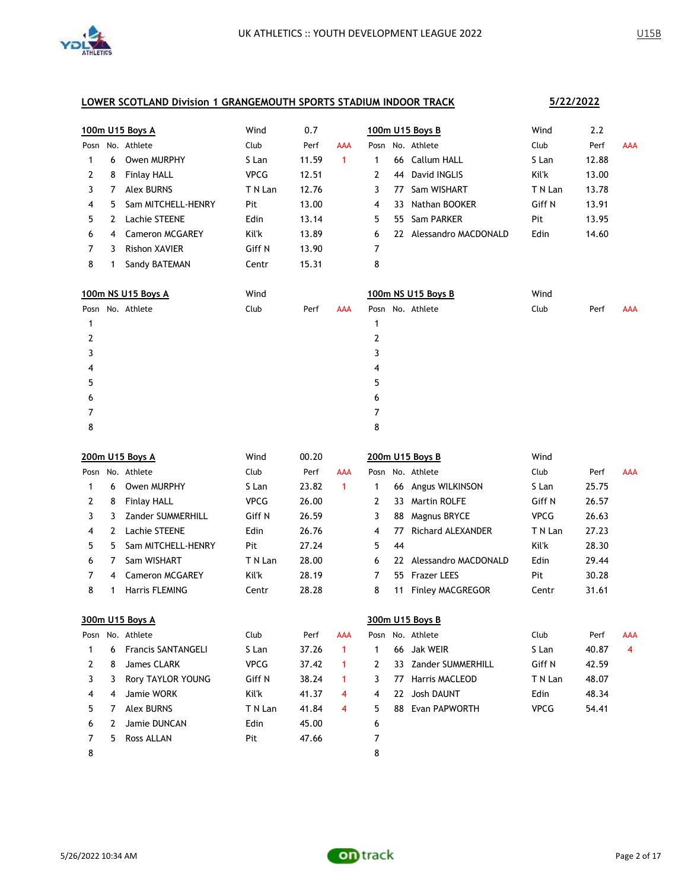

|      |   | 100m U15 Boys A           | Wind        | 0.7   |              |      |    | 100m U15 Boys B         | Wind        | 2.2   |            |
|------|---|---------------------------|-------------|-------|--------------|------|----|-------------------------|-------------|-------|------------|
|      |   | Posn No. Athlete          | Club        | Perf  | <b>AAA</b>   |      |    | Posn No. Athlete        | Club        | Perf  | <b>AAA</b> |
| 1    | 6 | Owen MURPHY               | S Lan       | 11.59 | $\mathbf{1}$ | 1    |    | 66 Callum HALL          | S Lan       | 12.88 |            |
| 2    | 8 | <b>Finlay HALL</b>        | <b>VPCG</b> | 12.51 |              | 2    |    | 44 David INGLIS         | Kil'k       | 13.00 |            |
| 3    | 7 | <b>Alex BURNS</b>         | T N Lan     | 12.76 |              | 3    | 77 | Sam WISHART             | T N Lan     | 13.78 |            |
| 4    | 5 | Sam MITCHELL-HENRY        | Pit         | 13.00 |              | 4    | 33 | Nathan BOOKER           | Giff N      | 13.91 |            |
| 5    | 2 | Lachie STEENE             | Edin        | 13.14 |              | 5    | 55 | Sam PARKER              | Pit         | 13.95 |            |
| 6    | 4 | <b>Cameron MCGAREY</b>    | Kil'k       | 13.89 |              | 6    |    | 22 Alessandro MACDONALD | Edin        | 14.60 |            |
| 7    | 3 | <b>Rishon XAVIER</b>      | Giff N      | 13.90 |              | 7    |    |                         |             |       |            |
| 8    | 1 | Sandy BATEMAN             | Centr       | 15.31 |              | 8    |    |                         |             |       |            |
|      |   | 100m NS U15 Boys A        | Wind        |       |              |      |    | 100m NS U15 Boys B      | Wind        |       |            |
|      |   | Posn No. Athlete          | Club        | Perf  | <b>AAA</b>   |      |    | Posn No. Athlete        | Club        | Perf  | <b>AAA</b> |
| 1    |   |                           |             |       |              | 1    |    |                         |             |       |            |
| 2    |   |                           |             |       |              | 2    |    |                         |             |       |            |
| 3    |   |                           |             |       |              | 3    |    |                         |             |       |            |
| 4    |   |                           |             |       |              | 4    |    |                         |             |       |            |
| 5    |   |                           |             |       |              | 5    |    |                         |             |       |            |
| 6    |   |                           |             |       |              | 6    |    |                         |             |       |            |
| 7    |   |                           |             |       |              | 7    |    |                         |             |       |            |
| 8    |   |                           |             |       |              | 8    |    |                         |             |       |            |
|      |   |                           |             |       |              |      |    |                         |             |       |            |
|      |   | 200m U15 Boys A           | Wind        | 00.20 |              |      |    | 200m U15 Boys B         | Wind        |       |            |
| Posn |   | No. Athlete               | Club        | Perf  | <b>AAA</b>   | Posn |    | No. Athlete             | Club        | Perf  | <b>AAA</b> |
| 1    | 6 | Owen MURPHY               | S Lan       | 23.82 | $\mathbf{1}$ | 1    |    | 66 Angus WILKINSON      | S Lan       | 25.75 |            |
| 2    | 8 | <b>Finlay HALL</b>        | <b>VPCG</b> | 26.00 |              | 2    | 33 | <b>Martin ROLFE</b>     | Giff N      | 26.57 |            |
| 3    | 3 | Zander SUMMERHILL         | Giff N      | 26.59 |              | 3    | 88 | Magnus BRYCE            | <b>VPCG</b> | 26.63 |            |
| 4    | 2 | Lachie STEENE             | Edin        | 26.76 |              | 4    | 77 | Richard ALEXANDER       | T N Lan     | 27.23 |            |
| 5    | 5 | Sam MITCHELL-HENRY        | Pit         | 27.24 |              | 5    | 44 |                         | Kil'k       | 28.30 |            |
| 6    | 7 | Sam WISHART               | T N Lan     | 28.00 |              | 6    |    | 22 Alessandro MACDONALD | Edin        | 29.44 |            |
| 7    | 4 | <b>Cameron MCGAREY</b>    | Kil'k       | 28.19 |              | 7    |    | 55 Frazer LEES          | Pit         | 30.28 |            |
| 8    | 1 | Harris FLEMING            | Centr       | 28.28 |              | 8    | 11 | <b>Finley MACGREGOR</b> | Centr       | 31.61 |            |
|      |   | 300m U15 Boys A           |             |       |              |      |    | 300m U15 Boys B         |             |       |            |
|      |   | Posn No. Athlete          | Club        | Perf  | <b>AAA</b>   | Posn |    | No. Athlete             | Club        | Perf  | <b>AAA</b> |
| 1    | 6 | <b>Francis SANTANGELI</b> | S Lan       | 37.26 | 1            | 1    | 66 | Jak WEIR                | S Lan       | 40.87 | 4          |
| 2    | 8 | James CLARK               | <b>VPCG</b> | 37.42 | 1            | 2    | 33 | Zander SUMMERHILL       | Giff N      | 42.59 |            |
| 3    | 3 | Rory TAYLOR YOUNG         | Giff N      | 38.24 | 1            | 3    | 77 | Harris MACLEOD          | T N Lan     | 48.07 |            |
| 4    | 4 | Jamie WORK                | Kil'k       | 41.37 | 4            | 4    |    | 22 Josh DAUNT           | Edin        | 48.34 |            |
| 5    | 7 | <b>Alex BURNS</b>         | T N Lan     | 41.84 | 4            | 5    | 88 | Evan PAPWORTH           | <b>VPCG</b> | 54.41 |            |
| 6    | 2 | Jamie DUNCAN              | Edin        | 45.00 |              | 6    |    |                         |             |       |            |
| 7    | 5 | Ross ALLAN                | Pit         | 47.66 |              | 7    |    |                         |             |       |            |

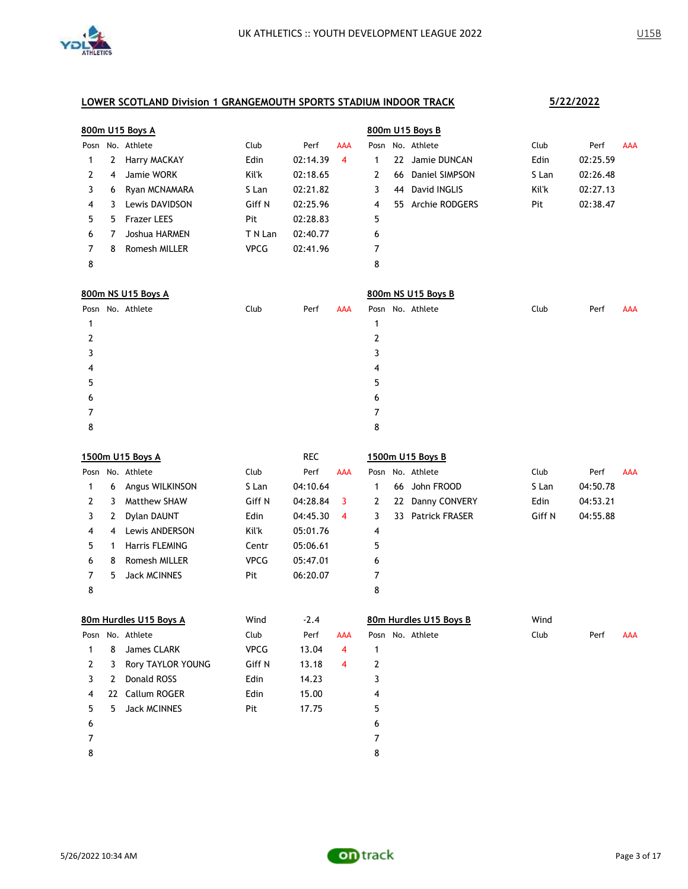

|      |   | 800m U15 Boys A    |             |          |            | 800m U15 Boys B |     |                |       |          |            |  |
|------|---|--------------------|-------------|----------|------------|-----------------|-----|----------------|-------|----------|------------|--|
| Posn |   | No. Athlete        | Club        | Perf     | <b>AAA</b> | Posn            |     | No. Athlete    | Club  | Perf     | <b>AAA</b> |  |
|      | 2 | Harry MACKAY       | Edin        | 02:14.39 | 4          |                 | 22  | Jamie DUNCAN   | Edin  | 02:25.59 |            |  |
| 2    | 4 | Jamie WORK         | Kil'k       | 02:18.65 |            | 2               | 66  | Daniel SIMPSON | S Lan | 02:26.48 |            |  |
| 3    | 6 | Ryan MCNAMARA      | S Lan       | 02:21.82 |            | 3.              | 44  | David INGLIS   | Kil'k | 02:27.13 |            |  |
| 4    |   | Lewis DAVIDSON     | Giff N      | 02:25.96 |            | 4               | 55. | Archie RODGERS | Pit   | 02:38.47 |            |  |
| 5.   | 5 | <b>Frazer LEES</b> | Pit         | 02:28.83 |            | 5               |     |                |       |          |            |  |
| 6    |   | Joshua HARMEN      | T N Lan     | 02:40.77 |            | 6               |     |                |       |          |            |  |
|      | 8 | Romesh MILLER      | <b>VPCG</b> | 02:41.96 |            |                 |     |                |       |          |            |  |
| 8    |   |                    |             |          |            | 8               |     |                |       |          |            |  |

|   | 800m NS U15 Boys A |                  |      |      |            |   | 800m NS U15 Boys B |                  |      |      |     |  |  |  |
|---|--------------------|------------------|------|------|------------|---|--------------------|------------------|------|------|-----|--|--|--|
|   |                    | Posn No. Athlete | Club | Perf | <b>AAA</b> |   |                    | Posn No. Athlete | Club | Perf | AAA |  |  |  |
|   |                    |                  |      |      |            |   |                    |                  |      |      |     |  |  |  |
|   |                    |                  |      |      |            |   |                    |                  |      |      |     |  |  |  |
|   |                    |                  |      |      |            |   |                    |                  |      |      |     |  |  |  |
| 4 |                    |                  |      |      |            | 4 |                    |                  |      |      |     |  |  |  |
| כ |                    |                  |      |      |            | 5 |                    |                  |      |      |     |  |  |  |
| 6 |                    |                  |      |      |            | 6 |                    |                  |      |      |     |  |  |  |
|   |                    |                  |      |      |            |   |                    |                  |      |      |     |  |  |  |
| 8 |                    |                  |      |      |            | 8 |                    |                  |      |      |     |  |  |  |

|      |    | 1500m U15 Boys A       |             | <b>REC</b> |                |   |    | 1500m U15 Boys B       |        |          |            |
|------|----|------------------------|-------------|------------|----------------|---|----|------------------------|--------|----------|------------|
| Posn |    | No. Athlete            | Club        | Perf       | <b>AAA</b>     |   |    | Posn No. Athlete       | Club   | Perf     | <b>AAA</b> |
| 1    | 6  | Angus WILKINSON        | S Lan       | 04:10.64   |                | 1 | 66 | John FROOD             | S Lan  | 04:50.78 |            |
| 2    | 3  | <b>Matthew SHAW</b>    | Giff N      | 04:28.84   | 3              | 2 | 22 | Danny CONVERY          | Edin   | 04:53.21 |            |
| 3    | 2  | Dylan DAUNT            | Edin        | 04:45.30   | $\overline{4}$ | 3 | 33 | <b>Patrick FRASER</b>  | Giff N | 04:55.88 |            |
| 4    | 4  | Lewis ANDERSON         | Kil'k       | 05:01.76   |                | 4 |    |                        |        |          |            |
| 5    | 1  | <b>Harris FLEMING</b>  | Centr       | 05:06.61   |                | 5 |    |                        |        |          |            |
| 6    | 8  | Romesh MILLER          | <b>VPCG</b> | 05:47.01   |                | 6 |    |                        |        |          |            |
| 7    | 5  | <b>Jack MCINNES</b>    | Pit         | 06:20.07   |                | 7 |    |                        |        |          |            |
| 8    |    |                        |             |            |                | 8 |    |                        |        |          |            |
|      |    | 80m Hurdles U15 Boys A | Wind        | $-2.4$     |                |   |    | 80m Hurdles U15 Boys B | Wind   |          |            |
| Posn |    | No. Athlete            | Club        | Perf       | <b>AAA</b>     |   |    | Posn No. Athlete       | Club   | Perf     | <b>AAA</b> |
| 1    | 8  | James CLARK            | <b>VPCG</b> | 13.04      | 4              | 1 |    |                        |        |          |            |
| 2    | 3  | Rory TAYLOR YOUNG      | Giff N      | 13.18      | 4              | 2 |    |                        |        |          |            |
| 3    | 2  | Donald ROSS            | Edin        | 14.23      |                | 3 |    |                        |        |          |            |
| 4    | 22 | Callum ROGER           | Edin        | 15.00      |                | 4 |    |                        |        |          |            |
| 5    | 5  | <b>Jack MCINNES</b>    | Pit         | 17.75      |                | 5 |    |                        |        |          |            |
| 6    |    |                        |             |            |                | 6 |    |                        |        |          |            |
| 7    |    |                        |             |            |                | 7 |    |                        |        |          |            |
| 8    |    |                        |             |            |                | 8 |    |                        |        |          |            |

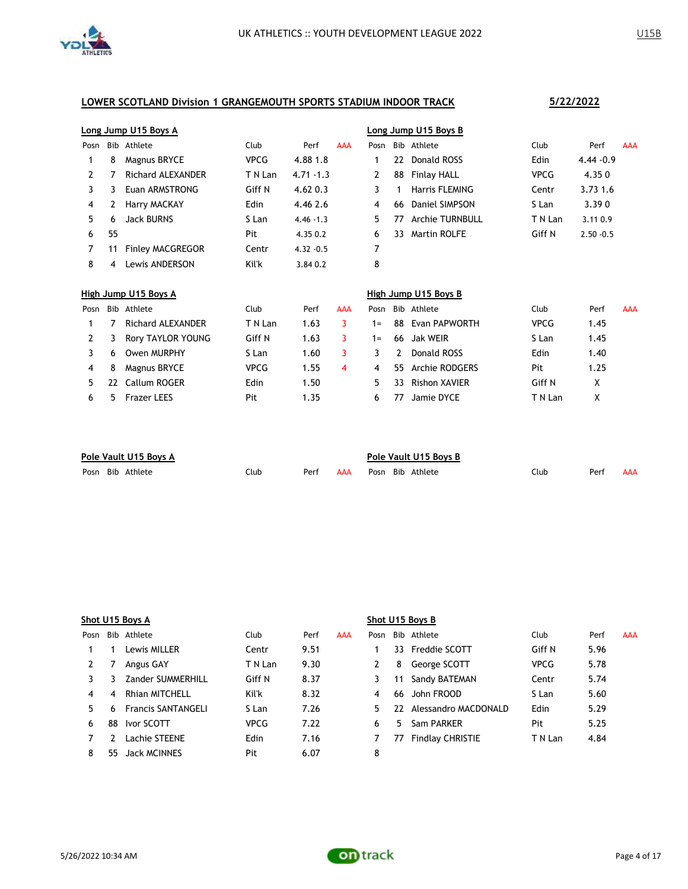

|      |    | Long Jump U15 Boys A     |             |              |            | Long Jump U15 Boys B |    |                        |             |              |            |  |
|------|----|--------------------------|-------------|--------------|------------|----------------------|----|------------------------|-------------|--------------|------------|--|
| Posn |    | Bib Athlete              | Club        | Perf         | <b>AAA</b> | Posn                 |    | Bib Athlete            | Club        | Perf         | <b>AAA</b> |  |
|      | 8  | Magnus BRYCE             | <b>VPCG</b> | 4.88 1.8     |            |                      | 22 | Donald ROSS            | Edin        | $4.44 - 0.9$ |            |  |
|      |    | <b>Richard ALEXANDER</b> | T N Lan     | $4.71 - 1.3$ |            | 2                    | 88 | Finlay HALL            | <b>VPCG</b> | 4.350        |            |  |
|      |    | Euan ARMSTRONG           | Giff N      | $4.62\;0.3$  |            | 3                    |    | Harris FLEMING         | Centr       | 3.73 1.6     |            |  |
| 4    |    | Harry MACKAY             | Edin        | 4.46 2.6     |            | 4                    | 66 | Daniel SIMPSON         | S Lan       | 3.390        |            |  |
| 5.   | 6  | <b>Jack BURNS</b>        | S Lan       | $4.46 - 1.3$ |            | 5.                   | 77 | <b>Archie TURNBULL</b> | T N Lan     | 3.11 0.9     |            |  |
| 6    | 55 |                          | Pit         | 4.35 0.2     |            | 6                    | 33 | <b>Martin ROLFE</b>    | Giff N      | $2.50 - 0.5$ |            |  |
|      |    | <b>Finley MACGREGOR</b>  | Centr       | $4.32 - 0.5$ |            | 7                    |    |                        |             |              |            |  |
| 8    | 4  | Lewis ANDERSON           | Kil'k       | 3.84 0.2     |            | 8                    |    |                        |             |              |            |  |

|      | High Jump U15 Boys A |                          |             |      |     |       | High Jump U15 Boys B |                      |             |      |            |  |  |
|------|----------------------|--------------------------|-------------|------|-----|-------|----------------------|----------------------|-------------|------|------------|--|--|
| Posn |                      | Bib Athlete              | Club        | Perf | AAA | Posn  |                      | Bib Athlete          | Club        | Perf | <b>AAA</b> |  |  |
|      |                      | <b>Richard ALEXANDER</b> | T N Lan     | 1.63 |     | $1 =$ | 88                   | Evan PAPWORTH        | <b>VPCG</b> | 1.45 |            |  |  |
|      |                      | Rory TAYLOR YOUNG        | Giff N      | 1.63 | 3.  | $1 =$ | -66                  | Jak WEIR             | S Lan       | 1.45 |            |  |  |
|      | 6                    | Owen MURPHY              | S Lan       | 1.60 |     |       | 2                    | Donald ROSS          | Edin        | 1.40 |            |  |  |
| 4    | 8                    | Magnus BRYCE             | <b>VPCG</b> | 1.55 | 4   | 4     | 55.                  | Archie RODGERS       | Pit         | 1.25 |            |  |  |
|      | 22                   | Callum ROGER             | Edin        | 1.50 |     | 5.    | 33                   | <b>Rishon XAVIER</b> | Giff N      | x    |            |  |  |
| 6    |                      | Frazer LEES              | Pit         | 1.35 |     | 6     | 77                   | Jamie DYCE           | T N Lan     |      |            |  |  |

| Pole Vault U15 Boys A |                  |      |      |     | Pole Vault U15 Boys B |                  |      |      |     |  |  |
|-----------------------|------------------|------|------|-----|-----------------------|------------------|------|------|-----|--|--|
|                       | Posn Bib Athlete | Club | Perf | AAA |                       | Posn Bib Athlete | Club | Perf | AAA |  |  |

|      | Shot U15 Boys A |                           |             |      |            |      | Shot U15 Boys B |                         |         |      |            |  |  |  |
|------|-----------------|---------------------------|-------------|------|------------|------|-----------------|-------------------------|---------|------|------------|--|--|--|
| Posn |                 | Bib Athlete               | Club        | Perf | <b>AAA</b> | Posn |                 | Bib Athlete             | Club    | Perf | <b>AAA</b> |  |  |  |
|      |                 | Lewis MILLER              | Centr       | 9.51 |            |      |                 | 33 Freddie SCOTT        | Giff N  | 5.96 |            |  |  |  |
|      |                 | Angus GAY                 | T N Lan     | 9.30 |            |      | 8               | George SCOTT            | VPCG    | 5.78 |            |  |  |  |
|      |                 | Zander SUMMERHILL         | Giff N      | 8.37 |            | 3    | 11              | Sandy BATEMAN           | Centr   | 5.74 |            |  |  |  |
| 4    | 4               | <b>Rhian MITCHELL</b>     | Kil'k       | 8.32 |            | 4    | 66              | John FROOD              | S Lan   | 5.60 |            |  |  |  |
| 5.   | 6.              | <b>Francis SANTANGELI</b> | S Lan       | 7.26 |            | 5.   | 22.             | Alessandro MACDONALD    | Edin    | 5.29 |            |  |  |  |
| 6    | 88              | Ivor SCOTT                | <b>VPCG</b> | 7.22 |            | 6    | 5.              | Sam PARKER              | Pit     | 5.25 |            |  |  |  |
|      |                 | Lachie STEENE             | Edin        | 7.16 |            |      | 77              | <b>Findlay CHRISTIE</b> | T N Lan | 4.84 |            |  |  |  |
| 8    | 55.             | Jack MCINNES              | Pit         | 6.07 |            | 8    |                 |                         |         |      |            |  |  |  |

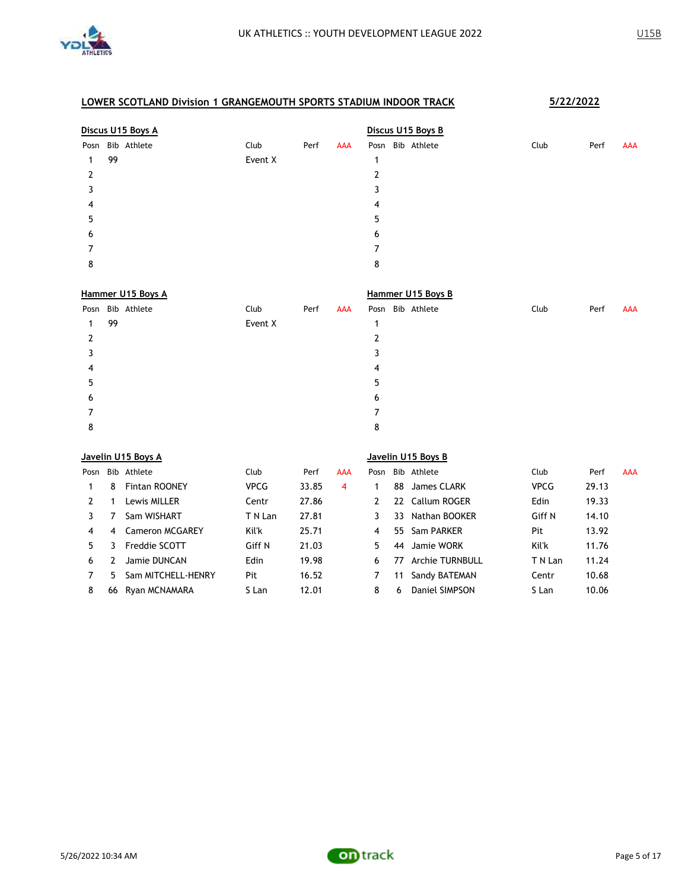

|   | Discus U15 Boys A |                  |         |      |     |   | Discus U15 Boys B |                  |  |      |      |     |  |  |  |
|---|-------------------|------------------|---------|------|-----|---|-------------------|------------------|--|------|------|-----|--|--|--|
|   |                   | Posn Bib Athlete | Club    | Perf | AAA |   |                   | Posn Bib Athlete |  | Club | Perf | AAA |  |  |  |
| 1 | 99                |                  | Event X |      |     |   |                   |                  |  |      |      |     |  |  |  |
| 2 |                   |                  |         |      |     | 2 |                   |                  |  |      |      |     |  |  |  |
| 3 |                   |                  |         |      |     | 3 |                   |                  |  |      |      |     |  |  |  |
| 4 |                   |                  |         |      |     | 4 |                   |                  |  |      |      |     |  |  |  |
| 5 |                   |                  |         |      |     | 5 |                   |                  |  |      |      |     |  |  |  |
| 6 |                   |                  |         |      |     | 6 |                   |                  |  |      |      |     |  |  |  |
| 7 |                   |                  |         |      |     |   |                   |                  |  |      |      |     |  |  |  |
| 8 |                   |                  |         |      |     | 8 |                   |                  |  |      |      |     |  |  |  |
|   |                   |                  |         |      |     |   |                   |                  |  |      |      |     |  |  |  |

| Hammer U15 Boys A |    |                  |         |      |     | Hammer U15 Boys B |  |                  |      |      |     |  |  |  |  |
|-------------------|----|------------------|---------|------|-----|-------------------|--|------------------|------|------|-----|--|--|--|--|
|                   |    | Posn Bib Athlete | Club    | Perf | AAA |                   |  | Posn Bib Athlete | Club | Perf | AAA |  |  |  |  |
| 1                 | 99 |                  | Event X |      |     | 1                 |  |                  |      |      |     |  |  |  |  |
| 2                 |    |                  |         |      |     |                   |  |                  |      |      |     |  |  |  |  |
| 3                 |    |                  |         |      |     | 3                 |  |                  |      |      |     |  |  |  |  |
| 4                 |    |                  |         |      |     | 4                 |  |                  |      |      |     |  |  |  |  |
| 5                 |    |                  |         |      |     | 5                 |  |                  |      |      |     |  |  |  |  |
| 6                 |    |                  |         |      |     | 6                 |  |                  |      |      |     |  |  |  |  |
| 7                 |    |                  |         |      |     |                   |  |                  |      |      |     |  |  |  |  |
| 8                 |    |                  |         |      |     | 8                 |  |                  |      |      |     |  |  |  |  |

|      | Javelin U15 Boys A |                      |         |       |            |      | Javelin U15 Boys B |                        |             |       |            |  |  |
|------|--------------------|----------------------|---------|-------|------------|------|--------------------|------------------------|-------------|-------|------------|--|--|
| Posn |                    | Bib Athlete          | Club    | Perf  | <b>AAA</b> | Posn |                    | Bib Athlete            | Club        | Perf  | <b>AAA</b> |  |  |
|      | 8                  | <b>Fintan ROONEY</b> | VPCG    | 33.85 | 4          |      | 88                 | James CLARK            | <b>VPCG</b> | 29.13 |            |  |  |
| 2    |                    | Lewis MILLER         | Centr   | 27.86 |            |      |                    | 22 Callum ROGER        | Edin        | 19.33 |            |  |  |
|      |                    | Sam WISHART          | T N Lan | 27.81 |            |      | 33                 | Nathan BOOKER          | Giff N      | 14.10 |            |  |  |
| 4    | 4                  | Cameron MCGARFY      | Kil'k   | 25.71 |            | 4    | 55.                | Sam PARKFR             | Pit         | 13.92 |            |  |  |
| 5.   |                    | Freddie SCOTT        | Giff N  | 21.03 |            | 5.   | 44                 | Jamie WORK             | Kil'k       | 11.76 |            |  |  |
| 6    |                    | Jamie DUNCAN         | Edin    | 19.98 |            | 6    | 77                 | <b>Archie TURNBULL</b> | T N Lan     | 11.24 |            |  |  |
|      | 5.                 | Sam MITCHELL-HENRY   | Pit     | 16.52 |            |      | 11                 | Sandy BATEMAN          | Centr       | 10.68 |            |  |  |
| 8    | 66                 | Ryan MCNAMARA        | S Lan   | 12.01 |            | 8    | 6                  | Daniel SIMPSON         | S Lan       | 10.06 |            |  |  |

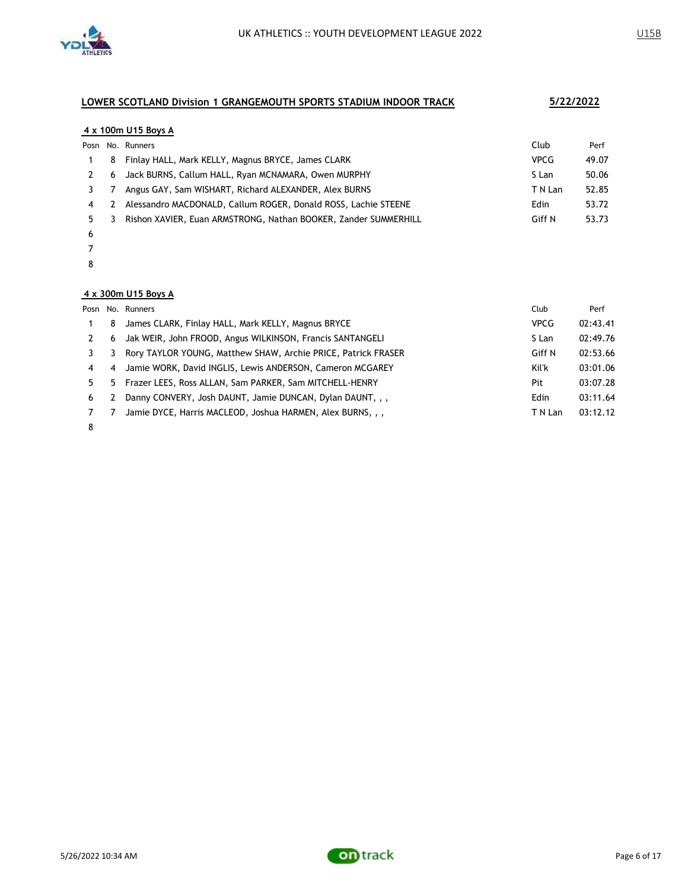

### **4 x 100m U15 Boys A**

|    |   | Posn No. Runners                                                | Club        | Perf  |
|----|---|-----------------------------------------------------------------|-------------|-------|
|    | 8 | Finlay HALL, Mark KELLY, Magnus BRYCE, James CLARK              | <b>VPCG</b> | 49.07 |
|    | 6 | Jack BURNS, Callum HALL, Ryan MCNAMARA, Owen MURPHY             | S Lan       | 50.06 |
|    |   | Angus GAY, Sam WISHART, Richard ALEXANDER, Alex BURNS           | T N Lan     | 52.85 |
| 4  |   | Alessandro MACDONALD, Callum ROGER, Donald ROSS, Lachie STEENE  | Edin        | 53.72 |
| 5. |   | Rishon XAVIER, Euan ARMSTRONG, Nathan BOOKER, Zander SUMMERHILL | Giff N      | 53.73 |
|    |   |                                                                 |             |       |

- 
- 
- 

#### **4 x 300m U15 Boys A**

|    |    | Posn No. Runners                                              | Club        | Perf     |
|----|----|---------------------------------------------------------------|-------------|----------|
|    | 8  | James CLARK, Finlay HALL, Mark KELLY, Magnus BRYCE            | <b>VPCG</b> | 02:43.41 |
|    | 6  | Jak WEIR, John FROOD, Angus WILKINSON, Francis SANTANGELI     | S Lan       | 02:49.76 |
|    | 3  | Rory TAYLOR YOUNG, Matthew SHAW, Archie PRICE, Patrick FRASER | Giff N      | 02:53.66 |
| 4  | 4  | Jamie WORK, David INGLIS, Lewis ANDERSON, Cameron MCGAREY     | Kil'k       | 03:01.06 |
| 5. | 5. | Frazer LEES, Ross ALLAN, Sam PARKER, Sam MITCHELL-HENRY       | Pit         | 03:07.28 |
| 6  | 2  | Danny CONVERY, Josh DAUNT, Jamie DUNCAN, Dylan DAUNT, , ,     | Edin        | 03:11.64 |
|    |    | Jamie DYCE, Harris MACLEOD, Joshua HARMEN, Alex BURNS, , ,    | T N Lan     | 03:12.12 |

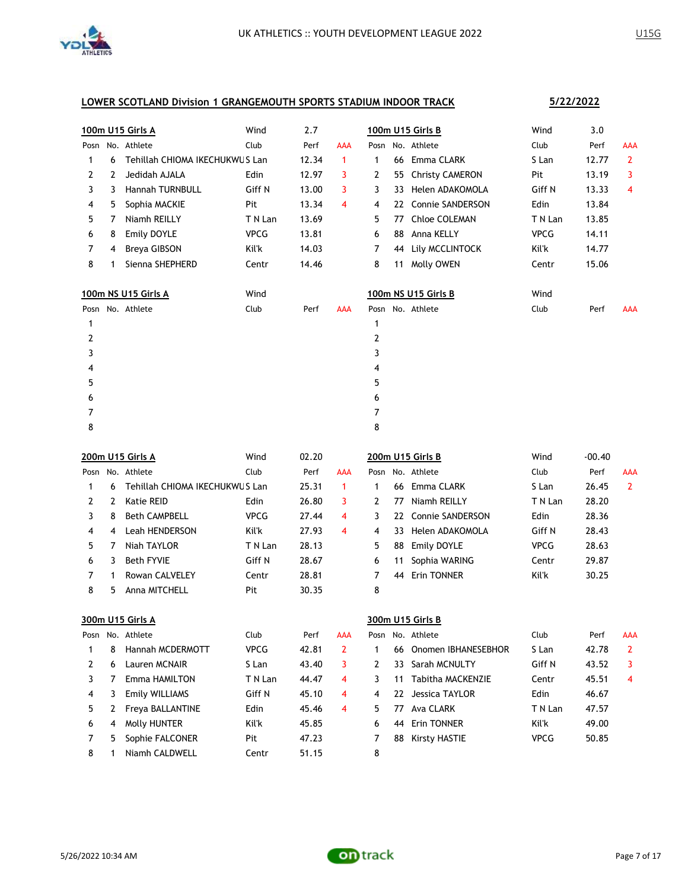

|      |   | 100m U15 Girls A               | Wind        | 2.7   |                |      |     | 100m U15 Girls B       | Wind        | 3.0    |                |
|------|---|--------------------------------|-------------|-------|----------------|------|-----|------------------------|-------------|--------|----------------|
| Posn |   | No. Athlete                    | Club        | Perf  | <b>AAA</b>     |      |     | Posn No. Athlete       | Club        | Perf   | <b>AAA</b>     |
| 1    | 6 | Tehillah CHIOMA IKECHUKWUS Lan |             | 12.34 | $\mathbf{1}$   | 1    |     | 66 Emma CLARK          | S Lan       | 12.77  | $\overline{2}$ |
| 2    | 2 | Jedidah AJALA                  | Edin        | 12.97 | 3              | 2    | 55  | <b>Christy CAMERON</b> | Pit         | 13.19  | 3              |
| 3    | 3 | <b>Hannah TURNBULL</b>         | Giff N      | 13.00 | 3              | 3    | 33  | Helen ADAKOMOLA        | Giff N      | 13.33  | 4              |
| 4    | 5 | Sophia MACKIE                  | Pit         | 13.34 | 4              | 4    | 22. | Connie SANDERSON       | Edin        | 13.84  |                |
| 5    | 7 | Niamh REILLY                   | T N Lan     | 13.69 |                | 5    | 77  | <b>Chloe COLEMAN</b>   | T N Lan     | 13.85  |                |
| 6    | 8 | Emily DOYLE                    | <b>VPCG</b> | 13.81 |                | 6    | 88  | Anna KELLY             | <b>VPCG</b> | 14.11  |                |
| 7    | 4 | Breya GIBSON                   | Kil'k       | 14.03 |                | 7    | 44  | Lily MCCLINTOCK        | Kil'k       | 14.77  |                |
| 8    | 1 | Sienna SHEPHERD                | Centr       | 14.46 |                | 8    |     | 11 Molly OWEN          | Centr       | 15.06  |                |
|      |   | 100m NS U15 Girls A            | Wind        |       |                |      |     | 100m NS U15 Girls B    | Wind        |        |                |
| Posn |   | No. Athlete                    | Club        | Perf  | AAA            | Posn |     | No. Athlete            | Club        | Perf   | AAA            |
| 1    |   |                                |             |       |                | 1    |     |                        |             |        |                |
| 2    |   |                                |             |       |                | 2    |     |                        |             |        |                |
| 3    |   |                                |             |       |                | 3    |     |                        |             |        |                |
| 4    |   |                                |             |       |                | 4    |     |                        |             |        |                |
| 5    |   |                                |             |       |                | 5    |     |                        |             |        |                |
| 6    |   |                                |             |       |                | 6    |     |                        |             |        |                |
| 7    |   |                                |             |       |                | 7    |     |                        |             |        |                |
| 8    |   |                                |             |       |                | 8    |     |                        |             |        |                |
|      |   |                                |             |       |                |      |     |                        |             |        |                |
|      |   | 200m U15 Girls A               | Wind        | 02.20 |                |      |     | 200m U15 Girls B       | Wind        | -00.40 |                |
|      |   | Posn No. Athlete               | Club        | Perf  | <b>AAA</b>     |      |     | Posn No. Athlete       | Club        | Perf   | <b>AAA</b>     |
| 1    | 6 | Tehillah CHIOMA IKECHUKWUS Lan |             | 25.31 | $\mathbf{1}$   | 1    | 66  | Emma CLARK             | S Lan       | 26.45  | $\mathbf{2}$   |
| 2    | 2 | <b>Katie REID</b>              | Edin        | 26.80 | 3              | 2    | 77  | Niamh REILLY           | T N Lan     | 28.20  |                |
| 3    | 8 | <b>Beth CAMPBELL</b>           | <b>VPCG</b> | 27.44 | 4              | 3    |     | 22 Connie SANDERSON    | Edin        | 28.36  |                |
| 4    | 4 | Leah HENDERSON                 | Kil'k       | 27.93 | 4              | 4    | 33. | Helen ADAKOMOLA        | Giff N      | 28.43  |                |
| 5    | 7 | Niah TAYLOR                    | T N Lan     | 28.13 |                | 5    | 88  | Emily DOYLE            | <b>VPCG</b> | 28.63  |                |
| 6    | 3 | <b>Beth FYVIE</b>              | Giff N      | 28.67 |                | 6    | 11  | Sophia WARING          | Centr       | 29.87  |                |
| 7    | 1 | Rowan CALVELEY                 | Centr       | 28.81 |                | 7    | 44  | Erin TONNER            | Kil'k       | 30.25  |                |
| 8    | 5 | Anna MITCHELL                  | Pit         | 30.35 |                | 8    |     |                        |             |        |                |
|      |   | 300m U15 Girls A               |             |       |                |      |     | 300m U15 Girls B       |             |        |                |
|      |   | Posn No. Athlete               | Club        | Perf  | <b>AAA</b>     |      |     | Posn No. Athlete       | Club        | Perf   | <b>AAA</b>     |
| 1    | 8 | Hannah MCDERMOTT               | <b>VPCG</b> | 42.81 | $\overline{2}$ | 1    | 66  | Onomen IBHANESEBHOR    | S Lan       | 42.78  | 2              |
| 2    | 6 | Lauren MCNAIR                  | S Lan       | 43.40 | 3              | 2    | 33  | Sarah MCNULTY          | Giff N      | 43.52  | 3              |
| 3    | 7 | Emma HAMILTON                  | T N Lan     | 44.47 | 4              | 3    | 11  | Tabitha MACKENZIE      | Centr       | 45.51  | 4              |
| 4    | 3 | Emily WILLIAMS                 | Giff N      | 45.10 | 4              | 4    | 22  | Jessica TAYLOR         | Edin        | 46.67  |                |
| 5    | 2 | Freya BALLANTINE               | Edin        | 45.46 | 4              | 5    | 77  | Ava CLARK              | T N Lan     | 47.57  |                |
| 6    | 4 | <b>Molly HUNTER</b>            | Kil'k       | 45.85 |                | 6    | 44  | Erin TONNER            | Kil'k       | 49.00  |                |
| 7    | 5 | Sophie FALCONER                | Pit         | 47.23 |                | 7    | 88  | <b>Kirsty HASTIE</b>   | <b>VPCG</b> | 50.85  |                |

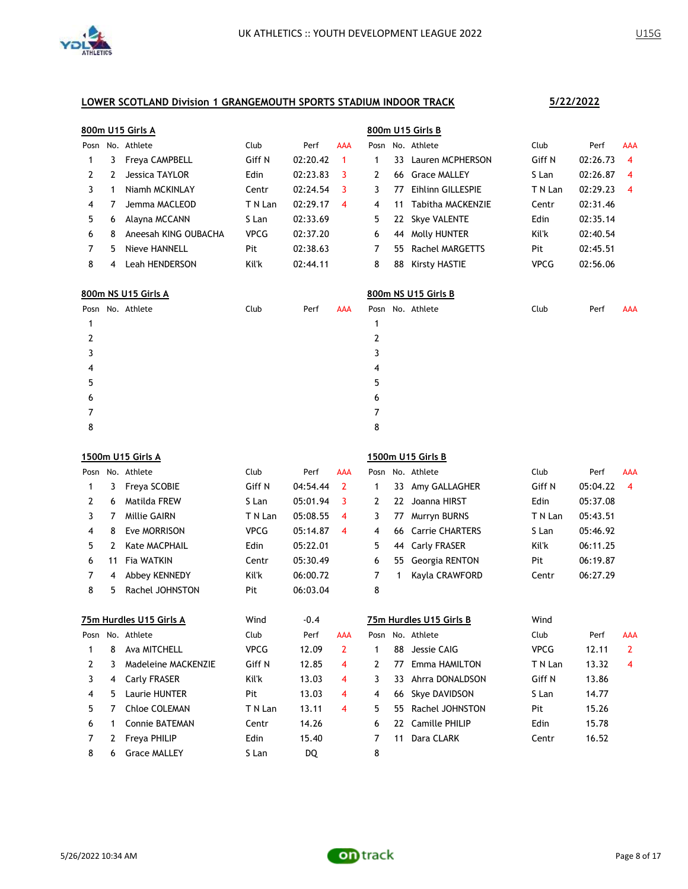

|      | 800m U15 Girls A |                       |             |          |            |      | 800m U15 Girls B |                     |             |          |                     |  |  |
|------|------------------|-----------------------|-------------|----------|------------|------|------------------|---------------------|-------------|----------|---------------------|--|--|
| Posn |                  | No. Athlete           | Club        | Perf     | <b>AAA</b> | Posn |                  | No. Athlete         | Club        | Perf     | <b>AAA</b>          |  |  |
|      | 3                | <b>Freya CAMPBELL</b> | Giff N      | 02:20.42 |            |      | 33.              | Lauren MCPHERSON    | Giff N      | 02:26.73 | -4                  |  |  |
|      |                  | Jessica TAYLOR        | Edin        | 02:23.83 |            |      | 66               | <b>Grace MALLEY</b> | S Lan       | 02:26.87 | $\overline{\bf{4}}$ |  |  |
| 3    |                  | Niamh MCKINI AY       | Centr       | 02:24.54 | 3          |      |                  | Fihlinn GILL FSPIF  | T N Lan     | 02:29.23 | $\overline{\bf{4}}$ |  |  |
| 4    |                  | Jemma MACLEOD         | T N Lan     | 02:29.17 | 4          | 4    | 11               | Tabitha MACKENZIE   | Centr       | 02:31.46 |                     |  |  |
| 5    | 6                | Alayna MCCANN         | S Lan       | 02:33.69 |            | 5.   | 22               | <b>Skye VALENTE</b> | Edin        | 02:35.14 |                     |  |  |
| 6    | 8                | Aneesah KING OUBACHA  | <b>VPCG</b> | 02:37.20 |            | 6    | 44               | Molly HUNTER        | Kil'k       | 02:40.54 |                     |  |  |
|      | 5                | Nieve HANNELL         | Pit         | 02:38.63 |            |      | 55.              | Rachel MARGETTS     | Pit         | 02:45.51 |                     |  |  |
| 8    | 4                | Leah HENDERSON        | Kil'k       | 02:44.11 |            | 8    | 88               | Kirsty HASTIE       | <b>VPCG</b> | 02:56.06 |                     |  |  |

| 800m NS U15 Girls A |  |                  |      |      |            | 800m NS U15 Girls B |  |                  |  |      |      |            |  |
|---------------------|--|------------------|------|------|------------|---------------------|--|------------------|--|------|------|------------|--|
|                     |  | Posn No. Athlete | Club | Perf | <b>AAA</b> |                     |  | Posn No. Athlete |  | Club | Perf | <b>AAA</b> |  |
|                     |  |                  |      |      |            |                     |  |                  |  |      |      |            |  |
|                     |  |                  |      |      |            | ົ                   |  |                  |  |      |      |            |  |
|                     |  |                  |      |      |            |                     |  |                  |  |      |      |            |  |
| 4                   |  |                  |      |      |            | 4                   |  |                  |  |      |      |            |  |
| 5                   |  |                  |      |      |            | 5                   |  |                  |  |      |      |            |  |
| 6                   |  |                  |      |      |            | 6                   |  |                  |  |      |      |            |  |
|                     |  |                  |      |      |            | ⋾                   |  |                  |  |      |      |            |  |
| 8                   |  |                  |      |      |            | 8                   |  |                  |  |      |      |            |  |

|      | 1500m U15 Girls A |                         |             |          |                | 1500m U15 Girls B |    |                         |             |          |                |
|------|-------------------|-------------------------|-------------|----------|----------------|-------------------|----|-------------------------|-------------|----------|----------------|
| Posn |                   | No. Athlete             | Club        | Perf     | <b>AAA</b>     | Posn              |    | No. Athlete             | Club        | Perf     | <b>AAA</b>     |
| 1    | 3                 | Freya SCOBIE            | Giff N      | 04:54.44 | 2              | 1                 | 33 | Amy GALLAGHER           | Giff N      | 05:04.22 | 4              |
| 2    | 6                 | Matilda FREW            | S Lan       | 05:01.94 | 3              | 2                 | 22 | Joanna HIRST            | Edin        | 05:37.08 |                |
| 3    | 7                 | <b>Millie GAIRN</b>     | T N Lan     | 05:08.55 | 4              | 3                 | 77 | Murryn BURNS            | T N Lan     | 05:43.51 |                |
| 4    | 8                 | Eve MORRISON            | <b>VPCG</b> | 05:14.87 | 4              | 4                 | 66 | <b>Carrie CHARTERS</b>  | S Lan       | 05:46.92 |                |
| 5    | 2                 | <b>Kate MACPHAIL</b>    | Edin        | 05:22.01 |                | 5                 | 44 | Carly FRASER            | Kil'k       | 06:11.25 |                |
| 6    | 11                | <b>Fia WATKIN</b>       | Centr       | 05:30.49 |                | 6                 | 55 | Georgia RENTON          | Pit         | 06:19.87 |                |
| 7    | 4                 | <b>Abbey KENNEDY</b>    | Kil'k       | 06:00.72 |                | 7                 | 1  | Kayla CRAWFORD          | Centr       | 06:27.29 |                |
| 8    | 5                 | Rachel JOHNSTON         | Pit         | 06:03.04 |                | 8                 |    |                         |             |          |                |
|      |                   | 75m Hurdles U15 Girls A | Wind        | $-0.4$   |                |                   |    | 75m Hurdles U15 Girls B | Wind        |          |                |
| Posn |                   | No. Athlete             | Club        | Perf     | <b>AAA</b>     | Posn              |    | No. Athlete             | Club        | Perf     | <b>AAA</b>     |
| 1    | 8                 | Ava MITCHELL            | <b>VPCG</b> | 12.09    | $\overline{2}$ | 1                 | 88 | Jessie CAIG             | <b>VPCG</b> | 12.11    | $\overline{2}$ |
| 2    | 3                 | Madeleine MACKENZIE     | Giff N      | 12.85    | 4              | 2                 | 77 | Emma HAMILTON           | T N Lan     | 13.32    | 4              |
| 3    | 4                 | Carly FRASER            | Kil'k       | 13.03    | 4              | 3                 | 33 | Ahrra DONALDSON         | Giff N      | 13.86    |                |
| 4    | 5.                | Laurie HUNTER           | Pit         | 13.03    | 4              | 4                 | 66 | Skye DAVIDSON           | S Lan       | 14.77    |                |
| 5    | 7                 | Chloe COLEMAN           | T N Lan     | 13.11    | 4              | 5                 | 55 | Rachel JOHNSTON         | Pit         | 15.26    |                |
| 6    |                   | <b>Connie BATEMAN</b>   | Centr       | 14.26    |                | 6                 | 22 | Camille PHILIP          | Edin        | 15.78    |                |
| 7    | 2                 | <b>Freya PHILIP</b>     | Edin        | 15.40    |                | 7                 | 11 | Dara CLARK              | Centr       | 16.52    |                |
| 8    | 6                 | <b>Grace MALLEY</b>     | S Lan       | DQ.      |                | 8                 |    |                         |             |          |                |

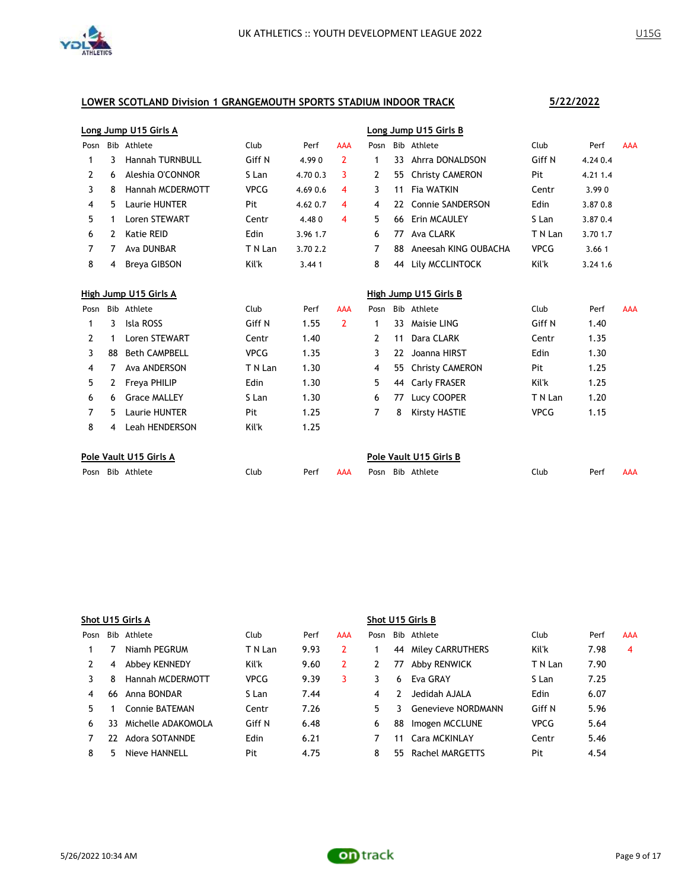

8 4 Leah HENDERSON Kil'k 1.25

|                | Long Jump U15 Girls A |                        |             |          |                |      | Long Jump U15 Girls B |                         |             |          |            |  |  |
|----------------|-----------------------|------------------------|-------------|----------|----------------|------|-----------------------|-------------------------|-------------|----------|------------|--|--|
| Posn           |                       | Bib Athlete            | Club        | Perf     | <b>AAA</b>     | Posn |                       | Bib Athlete             | Club        | Perf     | <b>AAA</b> |  |  |
| 1              | 3                     | <b>Hannah TURNBULL</b> | Giff N      | 4.990    | 2              | 1    | 33                    | Ahrra DONALDSON         | Giff N      | 4.24 0.4 |            |  |  |
| 2              | 6                     | Aleshia O'CONNOR       | S Lan       | 4.70 0.3 | 3              | 2    | 55                    | <b>Christy CAMERON</b>  | Pit         | 4.21 1.4 |            |  |  |
| 3              | 8                     | Hannah MCDERMOTT       | <b>VPCG</b> | 4.69 0.6 | 4              | 3    | 11                    | Fia WATKIN              | Centr       | 3.990    |            |  |  |
| 4              | 5                     | Laurie HUNTER          | Pit         | 4.62 0.7 | 4              | 4    | 22                    | <b>Connie SANDERSON</b> | Edin        | 3.870.8  |            |  |  |
| 5              | 1                     | <b>Loren STEWART</b>   | Centr       | 4.480    | 4              | 5    | 66                    | Erin MCAULEY            | S Lan       | 3.870.4  |            |  |  |
| 6              | 2                     | Katie REID             | Edin        | 3.96 1.7 |                | 6    | 77                    | Ava CLARK               | T N Lan     | 3.70 1.7 |            |  |  |
| 7              | 7                     | Ava DUNBAR             | T N Lan     | 3.70 2.2 |                | 7    | 88                    | Aneesah KING OUBACHA    | <b>VPCG</b> | 3.661    |            |  |  |
| 8              | 4                     | Breva GIBSON           | Kil'k       | 3.441    |                | 8    | 44                    | Lily MCCLINTOCK         | Kil'k       | 3.24 1.6 |            |  |  |
|                |                       | High Jump U15 Girls A  |             |          |                |      |                       | High Jump U15 Girls B   |             |          |            |  |  |
| Posn           |                       | Bib Athlete            | Club        | Perf     | <b>AAA</b>     | Posn |                       | Bib Athlete             | Club        | Perf     | <b>AAA</b> |  |  |
| 1              | 3                     | Isla ROSS              | Giff N      | 1.55     | $\overline{2}$ | 1    | 33                    | Maisie LING             | Giff N      | 1.40     |            |  |  |
| $\overline{2}$ | 1                     | Loren STEWART          | Centr       | 1.40     |                | 2    | 11                    | Dara CLARK              | Centr       | 1.35     |            |  |  |
| 3              | 88                    | <b>Beth CAMPBELL</b>   | <b>VPCG</b> | 1.35     |                | 3    | 22                    | Joanna HIRST            | Edin        | 1.30     |            |  |  |
| 4              |                       | Ava ANDERSON           | T N Lan     | 1.30     |                | 4    | 55                    | <b>Christy CAMERON</b>  | Pit         | 1.25     |            |  |  |
| 5              | 2                     | <b>Freya PHILIP</b>    | Edin        | 1.30     |                | 5    | 44                    | Carly FRASER            | Kil'k       | 1.25     |            |  |  |

| Pole Vault U15 Girls A |      |      |     | Pole Vault U15 Girls B |      |      |     |
|------------------------|------|------|-----|------------------------|------|------|-----|
| Posn Bib Athlete       | Club | Perf | AAA | Posn Bib Athlete       | Club | Perf | AAA |

6 6 Grace MALLEY 5 Lan 1.30 6 77 Lucy COOPER TN Lan 1.20 5 Laurie HUNTER Pit 1.25 7 8 Kirsty HASTIE VPCG 1.15

|      | Shot U15 Girls A |                    |             |      |            |      | Shot U15 Girls B |                           |             |      |            |  |  |  |
|------|------------------|--------------------|-------------|------|------------|------|------------------|---------------------------|-------------|------|------------|--|--|--|
| Posn |                  | Bib Athlete        | Club        | Perf | <b>AAA</b> | Posn |                  | Bib Athlete               | Club        | Perf | <b>AAA</b> |  |  |  |
|      |                  | Niamh PEGRUM       | T N Lan     | 9.93 |            |      | 44               | Miley CARRUTHERS          | Kil'k       | 7.98 | 4          |  |  |  |
|      | 4                | Abbey KENNEDY      | Kil'k       | 9.60 | 2          |      | 77               | Abby RENWICK              | T N Lan     | 7.90 |            |  |  |  |
|      | 8                | Hannah MCDERMOTT   | <b>VPCG</b> | 9.39 | 3          |      | 6                | Eva GRAY                  | S Lan       | 7.25 |            |  |  |  |
|      | 66               | Anna BONDAR        | S Lan       | 7.44 |            | 4    |                  | Jedidah AJALA             | Edin        | 6.07 |            |  |  |  |
| 5.   |                  | Connie BATFMAN     | Centr       | 7.26 |            | 5    |                  | <b>Genevieve NORDMANN</b> | Giff N      | 5.96 |            |  |  |  |
| 6    | 33.              | Michelle ADAKOMOLA | Giff N      | 6.48 |            | 6    | 88               | Imogen MCCLUNE            | <b>VPCG</b> | 5.64 |            |  |  |  |
|      | 22               | Adora SOTANNDE     | Edin        | 6.21 |            |      | 11               | Cara MCKINLAY             | Centr       | 5.46 |            |  |  |  |
| 8    | 5                | Nieve HANNELL      | Pit         | 4.75 |            | 8    | 55.              | Rachel MARGETTS           | Pit         | 4.54 |            |  |  |  |



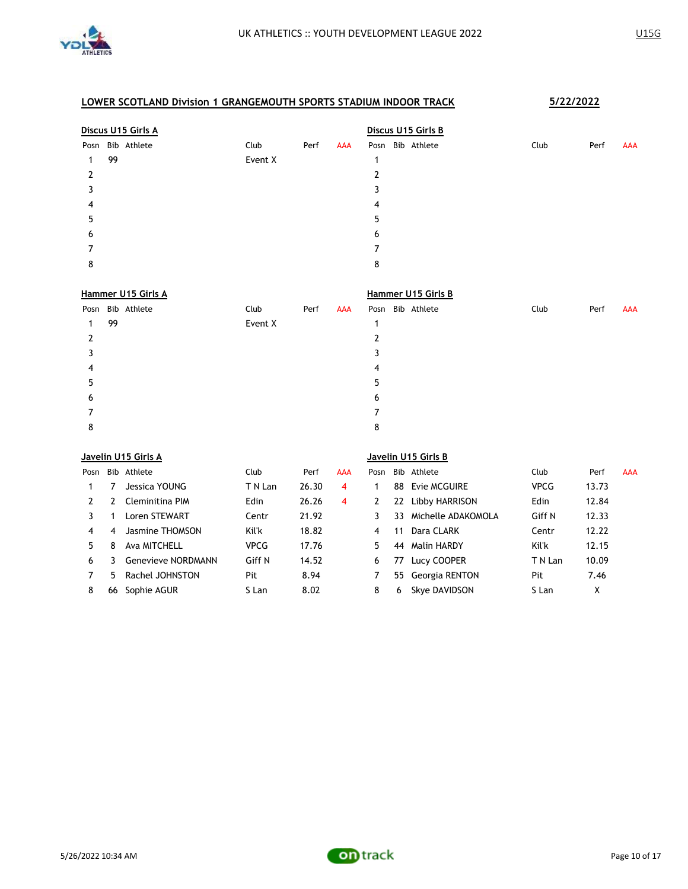

|   | Discus U15 Girls A |                  |         |      |     | Discus U15 Girls B |  |                  |  |      |      |            |  |  |
|---|--------------------|------------------|---------|------|-----|--------------------|--|------------------|--|------|------|------------|--|--|
|   |                    | Posn Bib Athlete | Club    | Perf | AAA |                    |  | Posn Bib Athlete |  | Club | Perf | <b>AAA</b> |  |  |
|   | 99                 |                  | Event X |      |     |                    |  |                  |  |      |      |            |  |  |
| 2 |                    |                  |         |      |     | ົ                  |  |                  |  |      |      |            |  |  |
| 3 |                    |                  |         |      |     | 3                  |  |                  |  |      |      |            |  |  |
| 4 |                    |                  |         |      |     | 4                  |  |                  |  |      |      |            |  |  |
| 5 |                    |                  |         |      |     | 5                  |  |                  |  |      |      |            |  |  |
| 6 |                    |                  |         |      |     | 6                  |  |                  |  |      |      |            |  |  |
|   |                    |                  |         |      |     |                    |  |                  |  |      |      |            |  |  |
| 8 |                    |                  |         |      |     | 8                  |  |                  |  |      |      |            |  |  |
|   |                    |                  |         |      |     |                    |  |                  |  |      |      |            |  |  |

|    | Hammer U15 Girls A |                  |         |      |     | Hammer U15 Girls B |  |                  |      |      |            |  |  |  |
|----|--------------------|------------------|---------|------|-----|--------------------|--|------------------|------|------|------------|--|--|--|
|    |                    | Posn Bib Athlete | Club    | Perf | AAA |                    |  | Posn Bib Athlete | Club | Perf | <b>AAA</b> |  |  |  |
| 1. | 99                 |                  | Event X |      |     |                    |  |                  |      |      |            |  |  |  |
| 2  |                    |                  |         |      |     |                    |  |                  |      |      |            |  |  |  |
|    |                    |                  |         |      |     |                    |  |                  |      |      |            |  |  |  |
| 4  |                    |                  |         |      |     | 4                  |  |                  |      |      |            |  |  |  |
| 5  |                    |                  |         |      |     | 5                  |  |                  |      |      |            |  |  |  |
| 6  |                    |                  |         |      |     | 6                  |  |                  |      |      |            |  |  |  |
|    |                    |                  |         |      |     |                    |  |                  |      |      |            |  |  |  |
| 8  |                    |                  |         |      |     | 8                  |  |                  |      |      |            |  |  |  |

|      | Javelin U15 Girls A |                           |             |       |            | Javelin U15 Girls B |    |                    |             |       |            |
|------|---------------------|---------------------------|-------------|-------|------------|---------------------|----|--------------------|-------------|-------|------------|
| Posn |                     | Bib Athlete               | Club        | Perf  | <b>AAA</b> | Posn                |    | Bib Athlete        | Club        | Perf  | <b>AAA</b> |
|      |                     | Jessica YOUNG             | T N Lan     | 26.30 | 4          |                     | 88 | Evie MCGUIRE       | <b>VPCG</b> | 13.73 |            |
| 2    | 2                   | Cleminitina PIM           | Edin        | 26.26 | 4          | 2                   | 22 | Libby HARRISON     | Edin        | 12.84 |            |
| 3.   |                     | Loren STEWART             | Centr       | 21.92 |            | 3                   | 33 | Michelle ADAKOMOLA | Giff N      | 12.33 |            |
| 4    | 4                   | Jasmine THOMSON           | Kil'k       | 18.82 |            | 4                   | 11 | Dara CLARK         | Centr       | 12.22 |            |
| 5.   | 8                   | Ava MITCHELL              | <b>VPCG</b> | 17.76 |            | 5.                  | 44 | Malin HARDY        | Kil'k       | 12.15 |            |
| 6    | ٦                   | <b>Genevieve NORDMANN</b> | Giff N      | 14.52 |            | 6                   | 77 | Lucy COOPER        | T N Lan     | 10.09 |            |
|      | 5.                  | Rachel JOHNSTON           | Pit         | 8.94  |            |                     |    | 55 Georgia RENTON  | Pit         | 7.46  |            |
| 8    | 66                  | Sophie AGUR               | S Lan       | 8.02  |            | 8                   | 6  | Skye DAVIDSON      | S Lan       | X     |            |

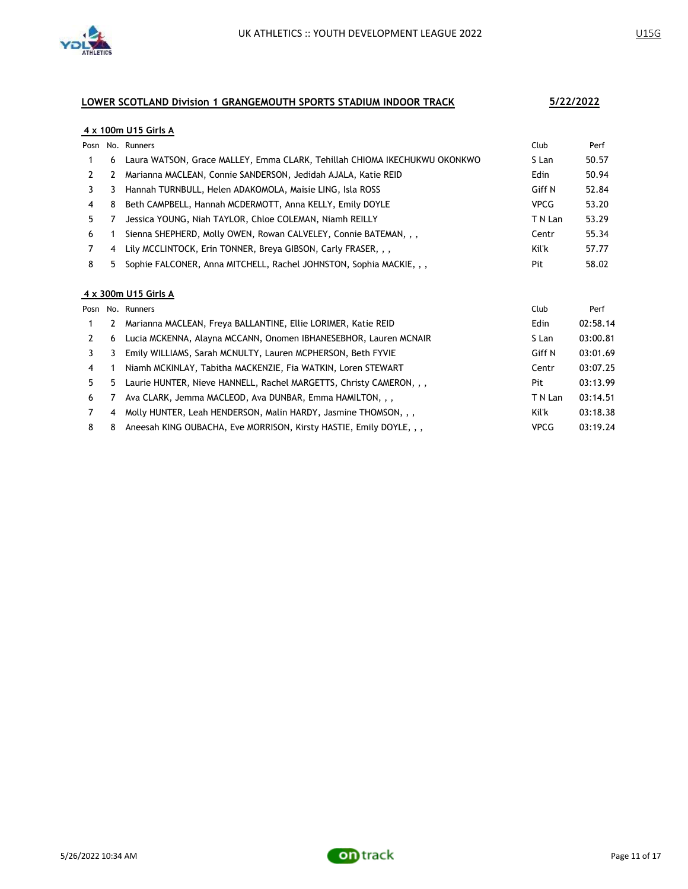

### **4 x 100m U15 Girls A**

|    |   | Posn No. Runners                                                          | Club        | Perf  |
|----|---|---------------------------------------------------------------------------|-------------|-------|
|    | 6 | Laura WATSON, Grace MALLEY, Emma CLARK, Tehillah CHIOMA IKECHUKWU OKONKWO | S Lan       | 50.57 |
|    |   | Marianna MACLEAN, Connie SANDERSON, Jedidah AJALA, Katie REID             | Edin        | 50.94 |
|    | 3 | Hannah TURNBULL, Helen ADAKOMOLA, Maisie LING, Isla ROSS                  | Giff N      | 52.84 |
| 4  | 8 | Beth CAMPBELL, Hannah MCDERMOTT, Anna KELLY, Emily DOYLE                  | <b>VPCG</b> | 53.20 |
| 5. |   | Jessica YOUNG, Niah TAYLOR, Chloe COLEMAN, Niamh REILLY                   | T N Lan     | 53.29 |
| 6  |   | Sienna SHEPHERD, Molly OWEN, Rowan CALVELEY, Connie BATEMAN, , ,          | Centr       | 55.34 |
|    | 4 | Lily MCCLINTOCK, Erin TONNER, Breya GIBSON, Carly FRASER, , ,             | Kil'k       | 57.77 |
| 8  |   | Sophie FALCONER, Anna MITCHELL, Rachel JOHNSTON, Sophia MACKIE, , ,       | Pit         | 58.02 |

#### **4 x 300m U15 Girls A**

|    |   | Posn No. Runners                                                    | Club        | Perf     |
|----|---|---------------------------------------------------------------------|-------------|----------|
|    | 2 | Marianna MACLEAN, Freya BALLANTINE, Ellie LORIMER, Katie REID       | Edin        | 02:58.14 |
| 2  | 6 | Lucia MCKENNA, Alayna MCCANN, Onomen IBHANESEBHOR, Lauren MCNAIR    | S Lan       | 03:00.81 |
|    | 3 | Emily WILLIAMS, Sarah MCNULTY, Lauren MCPHERSON, Beth FYVIE         | Giff N      | 03:01.69 |
| 4  |   | Niamh MCKINLAY, Tabitha MACKENZIE, Fia WATKIN, Loren STEWART        | Centr       | 03:07.25 |
| 5. | 5 | Laurie HUNTER, Nieve HANNELL, Rachel MARGETTS, Christy CAMERON, , , | Pit         | 03:13.99 |
| 6  |   | Ava CLARK, Jemma MACLEOD, Ava DUNBAR, Emma HAMILTON, , ,            | T N Lan     | 03:14.51 |
|    | 4 | Molly HUNTER, Leah HENDERSON, Malin HARDY, Jasmine THOMSON, , ,     | Kil'k       | 03:18.38 |
| 8  | 8 | Aneesah KING OUBACHA, Eve MORRISON, Kirsty HASTIE, Emily DOYLE, , , | <b>VPCG</b> | 03:19.24 |

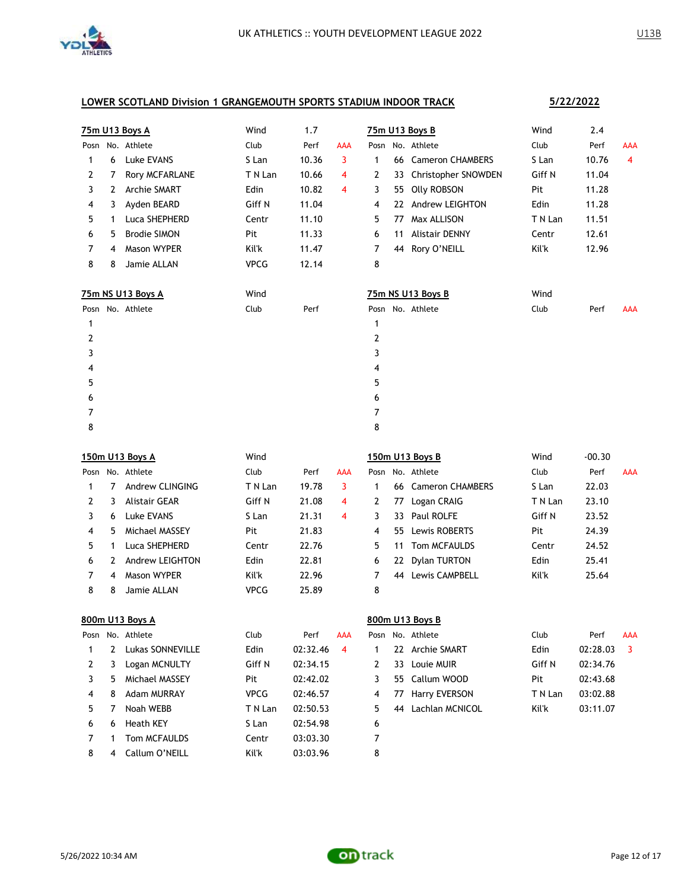

|      |    | 75m U13 Boys A      | Wind        | 1.7   |            |   |    | 75m U13 Boys B        | Wind    | 2.4      |            |
|------|----|---------------------|-------------|-------|------------|---|----|-----------------------|---------|----------|------------|
| Posn |    | No. Athlete         | Club        | Perf  | <b>AAA</b> |   |    | Posn No. Athlete      | Club    | Perf     | <b>AAA</b> |
| 1    | 6  | Luke EVANS          | S Lan       | 10.36 | 3          | 1 |    | 66 Cameron CHAMBERS   | S Lan   | 10.76    | 4          |
| 2    | 7  | Rory MCFARLANE      | T N Lan     | 10.66 | 4          | 2 | 33 | Christopher SNOWDEN   | Giff N  | 11.04    |            |
| 3    | 2  | <b>Archie SMART</b> | Edin        | 10.82 | 4          | 3 | 55 | <b>Olly ROBSON</b>    | Pit     | 11.28    |            |
| 4    | 3  | Ayden BEARD         | Giff N      | 11.04 |            | 4 | 22 | Andrew LEIGHTON       | Edin    | 11.28    |            |
| 5    | 1  | Luca SHEPHERD       | Centr       | 11.10 |            | 5 | 77 | Max ALLISON           | T N Lan | 11.51    |            |
| 6    | 5. | <b>Brodie SIMON</b> | Pit         | 11.33 |            | 6 | 11 | <b>Alistair DENNY</b> | Centr   | 12.61    |            |
| 7    | 4  | Mason WYPER         | Kil'k       | 11.47 |            | 7 |    | 44 Rory O'NEILL       | Kil'k   | 12.96    |            |
| 8    | 8  | Jamie ALLAN         | <b>VPCG</b> | 12.14 |            | 8 |    |                       |         |          |            |
|      |    | 75m NS U13 Boys A   | Wind        |       |            |   |    | 75m NS U13 Boys B     | Wind    |          |            |
|      |    | Posn No. Athlete    | Club        | Perf  |            |   |    | Posn No. Athlete      | Club    | Perf     | <b>AAA</b> |
| 1    |    |                     |             |       |            | 1 |    |                       |         |          |            |
| 2    |    |                     |             |       |            | 2 |    |                       |         |          |            |
| 3    |    |                     |             |       |            | 3 |    |                       |         |          |            |
| 4    |    |                     |             |       |            | 4 |    |                       |         |          |            |
| 5    |    |                     |             |       |            | 5 |    |                       |         |          |            |
| 6    |    |                     |             |       |            | 6 |    |                       |         |          |            |
| 7    |    |                     |             |       |            | 7 |    |                       |         |          |            |
| 8    |    |                     |             |       |            | 8 |    |                       |         |          |            |
|      |    | 150m U13 Boys A     | Wind        |       |            |   |    | 150m U13 Boys B       | Wind    | $-00.30$ |            |
|      |    | Posn No. Athlete    | Club        | Perf  | <b>AAA</b> |   |    | Posn No. Athlete      | Club    | Perf     | <b>AAA</b> |

| Posn |    | No. Athlete     | Club        | Perf  | <b>AAA</b> |    |     | Posn No. Athlete | Club    | Perf  | <b>AAA</b> |
|------|----|-----------------|-------------|-------|------------|----|-----|------------------|---------|-------|------------|
|      |    | Andrew CLINGING | T N Lan     | 19.78 |            |    | 66. | Cameron CHAMBERS | S Lan   | 22.03 |            |
|      | 3  | Alistair GFAR   | Giff N      | 21.08 | 4          |    | 77  | Logan CRAIG      | T N Lan | 23.10 |            |
|      | 6. | Luke EVANS      | S Lan       | 21.31 | 4          |    | 33. | Paul ROLFE       | Giff N  | 23.52 |            |
| 4    | 5. | Michael MASSEY  | Pit         | 21.83 |            | 4  |     | 55 Lewis ROBERTS | Pit     | 24.39 |            |
| 5.   |    | Luca SHEPHERD   | Centr       | 22.76 |            | 5. | 11  | Tom MCFAULDS     | Centr   | 24.52 |            |
| 6    |    | Andrew LEIGHTON | Edin        | 22.81 |            | 6  | 22  | Dylan TURTON     | Edin    | 25.41 |            |
|      | 4  | Mason WYPFR     | Kil'k       | 22.96 |            |    | 44  | Lewis CAMPBELL   | Kil'k   | 25.64 |            |
| 8    | 8  | Jamie Al I AN   | <b>VPCG</b> | 25.89 |            | 8  |     |                  |         |       |            |

|      | 800m U13 Boys A |                  |             |          |            |   |     | 800m U13 Boys B  |         |          |            |
|------|-----------------|------------------|-------------|----------|------------|---|-----|------------------|---------|----------|------------|
| Posn |                 | No. Athlete      | Club        | Perf     | <b>AAA</b> |   |     | Posn No. Athlete | Club    | Perf     | <b>AAA</b> |
|      | 2               | Lukas SONNEVILLE | Edin        | 02:32.46 | 4          |   | 22. | Archie SMART     | Edin    | 02:28.03 | 3          |
| 2    | 3               | Logan MCNULTY    | Giff N      | 02:34.15 |            | 2 | 33  | Louie MUIR       | Giff N  | 02:34.76 |            |
| 3.   | 5.              | Michael MASSEY   | Pit         | 02:42.02 |            | 3 |     | 55 Callum WOOD   | Pit     | 02:43.68 |            |
| 4    | 8               | Adam MURRAY      | <b>VPCG</b> | 02:46.57 |            | 4 | 77  | Harry EVERSON    | T N Lan | 03:02.88 |            |
| 5.   |                 | Noah WEBB        | T N Lan     | 02:50.53 |            | 5 | 44  | Lachlan MCNICOL  | Kil'k   | 03:11.07 |            |
| 6    | 6               | Heath KEY        | S Lan       | 02:54.98 |            | 6 |     |                  |         |          |            |
|      |                 | Tom MCFAULDS     | Centr       | 03:03.30 |            |   |     |                  |         |          |            |
| 8    | 4               | Callum O'NEILL   | Kil'k       | 03:03.96 |            | 8 |     |                  |         |          |            |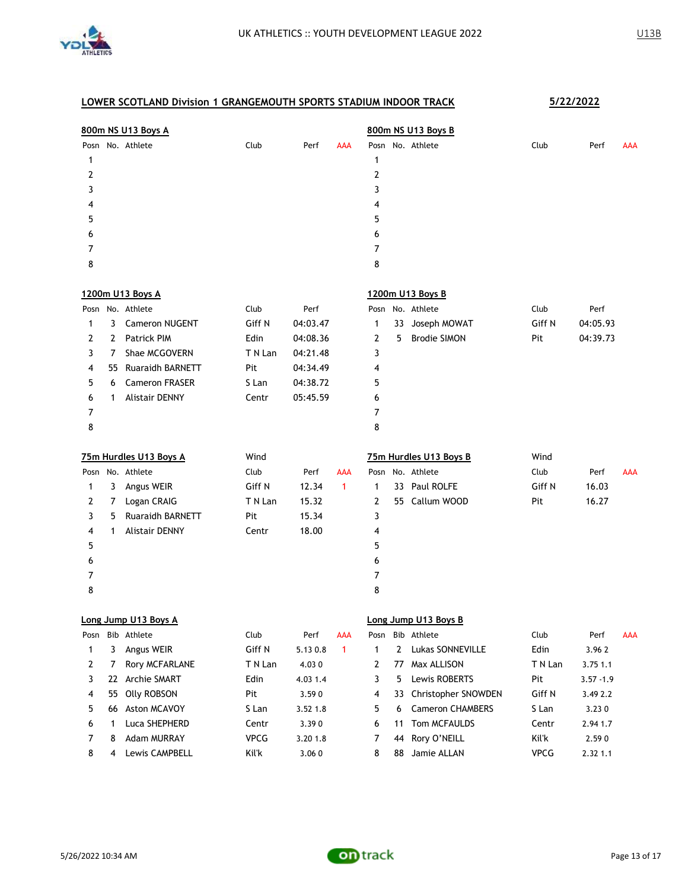

|                |    | 800m NS U13 Boys A      |         |          |            |                |    | 800m NS U13 Boys B      |             |              |     |
|----------------|----|-------------------------|---------|----------|------------|----------------|----|-------------------------|-------------|--------------|-----|
|                |    | Posn No. Athlete        | Club    | Perf     | AAA        |                |    | Posn No. Athlete        | Club        | Perf         | AAA |
| 1              |    |                         |         |          |            | 1              |    |                         |             |              |     |
| 2              |    |                         |         |          |            | $\overline{2}$ |    |                         |             |              |     |
| 3              |    |                         |         |          |            | 3              |    |                         |             |              |     |
| 4              |    |                         |         |          |            | 4              |    |                         |             |              |     |
| 5              |    |                         |         |          |            | 5              |    |                         |             |              |     |
| 6              |    |                         |         |          |            | 6              |    |                         |             |              |     |
| 7              |    |                         |         |          |            | 7              |    |                         |             |              |     |
| 8              |    |                         |         |          |            | 8              |    |                         |             |              |     |
|                |    | 1200m U13 Boys A        |         |          |            |                |    | 1200m U13 Boys B        |             |              |     |
|                |    | Posn No. Athlete        | Club    | Perf     |            |                |    | Posn No. Athlete        | Club        | Perf         |     |
| 1              | 3  | <b>Cameron NUGENT</b>   | Giff N  | 04:03.47 |            | 1              | 33 | Joseph MOWAT            | Giff N      | 04:05.93     |     |
| 2              | 2  | <b>Patrick PIM</b>      | Edin    | 04:08.36 |            | 2              | 5  | <b>Brodie SIMON</b>     | Pit         | 04:39.73     |     |
| 3              | 7  | Shae MCGOVERN           | T N Lan | 04:21.48 |            | 3              |    |                         |             |              |     |
| 4              | 55 | <b>Ruaraidh BARNETT</b> | Pit     | 04:34.49 |            | 4              |    |                         |             |              |     |
| 5              | 6  | <b>Cameron FRASER</b>   | S Lan   | 04:38.72 |            | 5              |    |                         |             |              |     |
| 6              | 1  | <b>Alistair DENNY</b>   | Centr   | 05:45.59 |            | 6              |    |                         |             |              |     |
| 7              |    |                         |         |          |            | 7              |    |                         |             |              |     |
| 8              |    |                         |         |          |            | 8              |    |                         |             |              |     |
|                |    | 75m Hurdles U13 Boys A  | Wind    |          |            |                |    | 75m Hurdles U13 Boys B  | Wind        |              |     |
|                |    | Posn No. Athlete        | Club    | Perf     | AAA        |                |    | Posn No. Athlete        | Club        | Perf         | AAA |
| 1              | 3  | Angus WEIR              | Giff N  | 12.34    | 1          | 1              |    | 33 Paul ROLFE           | Giff N      | 16.03        |     |
| 2              | 7  | Logan CRAIG             | T N Lan | 15.32    |            | $\mathbf{2}$   |    | 55 Callum WOOD          | Pit         | 16.27        |     |
| 3              | 5  | <b>Ruaraidh BARNETT</b> | Pit     | 15.34    |            | 3              |    |                         |             |              |     |
| 4              | 1  | <b>Alistair DENNY</b>   | Centr   | 18.00    |            | 4              |    |                         |             |              |     |
| 5              |    |                         |         |          |            | 5              |    |                         |             |              |     |
| 6              |    |                         |         |          |            | 6              |    |                         |             |              |     |
| 7              |    |                         |         |          |            | 7              |    |                         |             |              |     |
| 8              |    |                         |         |          |            | 8              |    |                         |             |              |     |
|                |    | Long Jump U13 Boys A    |         |          |            |                |    | Long Jump U13 Boys B    |             |              |     |
| Posn           |    | Bib Athlete             | Club    | Perf     | <b>AAA</b> | Posn           |    | Bib Athlete             | Club        | Perf         | AAA |
| 1              | 3  | Angus WEIR              | Giff N  | 5.13 0.8 | 1          | $\mathbf{1}$   | 2  | Lukas SONNEVILLE        | Edin        | 3.962        |     |
| $\overline{2}$ | 7  | Rory MCFARLANE          | T N Lan | 4.030    |            | 2              | 77 | Max ALLISON             | T N Lan     | 3.75 1.1     |     |
| 3              | 22 | Archie SMART            | Edin    | 4.03 1.4 |            | 3              | 5  | Lewis ROBERTS           | Pit         | $3.57 - 1.9$ |     |
| 4              | 55 | <b>Olly ROBSON</b>      | Pit     | 3.590    |            | 4              | 33 | Christopher SNOWDEN     | Giff N      | 3.49 2.2     |     |
| 5              | 66 | Aston MCAVOY            | S Lan   | 3.52 1.8 |            | 5              | 6  | <b>Cameron CHAMBERS</b> | S Lan       | 3.230        |     |
| 6              | 1  | Luca SHEPHERD           | Centr   | 3.390    |            | 6              | 11 | Tom MCFAULDS            | Centr       | 2.94 1.7     |     |
| 7              | 8  | <b>Adam MURRAY</b>      | VPCG    | 3.20 1.8 |            | 7              | 44 | Rory O'NEILL            | Kil'k       | 2.590        |     |
| 8              | 4  | Lewis CAMPBELL          | Kil'k   | 3.060    |            | 8              |    | 88 Jamie ALLAN          | <b>VPCG</b> | 2.32 1.1     |     |

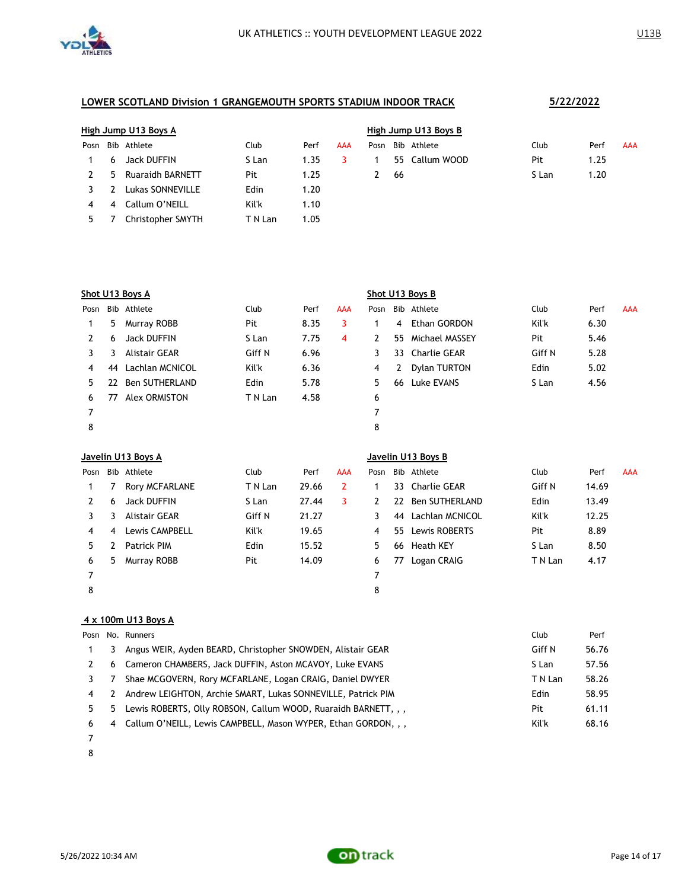

|      | High Jump U13 Boys A |                   |         |      |            | High Jump U13 Boys B |     |                |       |      |            |  |  |
|------|----------------------|-------------------|---------|------|------------|----------------------|-----|----------------|-------|------|------------|--|--|
| Posn |                      | Bib Athlete       | Club    | Perf | <b>AAA</b> | Posn                 |     | Bib Athlete    | Club  | Perf | <b>AAA</b> |  |  |
|      | 6                    | Jack DUFFIN       | S Lan   | 1.35 |            |                      |     | 55 Callum WOOD | Pit   | 1.25 |            |  |  |
|      | 5.                   | Ruaraidh BARNETT  | Pit     | 1.25 |            |                      | -66 |                | S Lan | 1.20 |            |  |  |
|      |                      | Lukas SONNEVILLE  | Edin    | 1.20 |            |                      |     |                |       |      |            |  |  |
| 4    | 4                    | Callum O'NEILL    | Kil'k   | 1.10 |            |                      |     |                |       |      |            |  |  |
| 5.   |                      | Christopher SMYTH | T N Lan | 1.05 |            |                      |     |                |       |      |            |  |  |

|      | Shot U13 Boys A |                       |         |      |     |      |    | Shot U13 Boys B |        |      |            |
|------|-----------------|-----------------------|---------|------|-----|------|----|-----------------|--------|------|------------|
| Posn |                 | Bib Athlete           | Club    | Perf | AAA | Posn |    | Bib Athlete     | Club   | Perf | <b>AAA</b> |
|      | 5.              | Murray ROBB           | Pit     | 8.35 | 3   |      | 4  | Ethan GORDON    | Kil'k  | 6.30 |            |
| 2    | 6               | Jack DUFFIN           | S Lan   | 7.75 | 4   | 2    | 55 | Michael MASSEY  | Pit    | 5.46 |            |
| 3    | 3               | Alistair GEAR         | Giff N  | 6.96 |     | 3    | 33 | Charlie GEAR    | Giff N | 5.28 |            |
| 4    | 44              | Lachlan MCNICOL       | Kil'k   | 6.36 |     | 4    | 2  | Dylan TURTON    | Edin   | 5.02 |            |
| 5.   | 22              | <b>Ben SUTHERLAND</b> | Edin    | 5.78 |     | 5    | 66 | Luke EVANS      | S Lan  | 4.56 |            |
| 6    | 77              | Alex ORMISTON         | T N Lan | 4.58 |     | 6    |    |                 |        |      |            |
|      |                 |                       |         |      |     | 7    |    |                 |        |      |            |
| 8    |                 |                       |         |      |     | 8    |    |                 |        |      |            |

|      | Javelin U13 Boys A |                    |         |       |            | Javelin U13 Boys B |     |                 |         |       |            |  |
|------|--------------------|--------------------|---------|-------|------------|--------------------|-----|-----------------|---------|-------|------------|--|
| Posn |                    | Bib Athlete        | Club    | Perf  | <b>AAA</b> | Posn               |     | Bib Athlete     | Club    | Perf  | <b>AAA</b> |  |
| 1.   |                    | Rory MCFARLANE     | T N Lan | 29.66 | 2          |                    | 33  | Charlie GEAR    | Giff N  | 14.69 |            |  |
|      | 6                  | <b>Jack DUFFIN</b> | S Lan   | 27.44 | 3.         | 2                  | 22  | Ben SUTHERLAND  | Edin    | 13.49 |            |  |
|      | 3                  | Alistair GEAR      | Giff N  | 21.27 |            | 3                  | 44  | Lachlan MCNICOL | Kil'k   | 12.25 |            |  |
| 4    | 4                  | Lewis CAMPBELL     | Kil'k   | 19.65 |            | 4                  | 55. | Lewis ROBERTS   | Pit     | 8.89  |            |  |
| 5.   |                    | <b>Patrick PIM</b> | Edin    | 15.52 |            | 5.                 | 66  | Heath KEY       | S Lan   | 8.50  |            |  |
| 6    | 5.                 | Murray ROBB        | Pit     | 14.09 |            | 6                  | 77  | Logan CRAIG     | T N Lan | 4.17  |            |  |
|      |                    |                    |         |       |            |                    |     |                 |         |       |            |  |
| 8    |                    |                    |         |       |            | 8                  |     |                 |         |       |            |  |

#### **4 x 100m U13 Boys A**

|   |    | Posn No. Runners                                               | Club    | Perf  |
|---|----|----------------------------------------------------------------|---------|-------|
|   | 3  | Angus WEIR, Ayden BEARD, Christopher SNOWDEN, Alistair GEAR    | Giff N  | 56.76 |
|   |    | 6 Cameron CHAMBERS, Jack DUFFIN, Aston MCAVOY, Luke EVANS      | S Lan   | 57.56 |
|   |    | Shae MCGOVERN, Rory MCFARLANE, Logan CRAIG, Daniel DWYER       | T N Lan | 58.26 |
| 4 | 2  | Andrew LEIGHTON, Archie SMART, Lukas SONNEVILLE, Patrick PIM   | Edin    | 58.95 |
|   | 5. | Lewis ROBERTS, Olly ROBSON, Callum WOOD, Ruaraidh BARNETT, , , | Pit     | 61.11 |
| 6 | 4  | Callum O'NEILL, Lewis CAMPBELL, Mason WYPER, Ethan GORDON, , , | Kil'k   | 68.16 |
|   |    |                                                                |         |       |

- 
- 

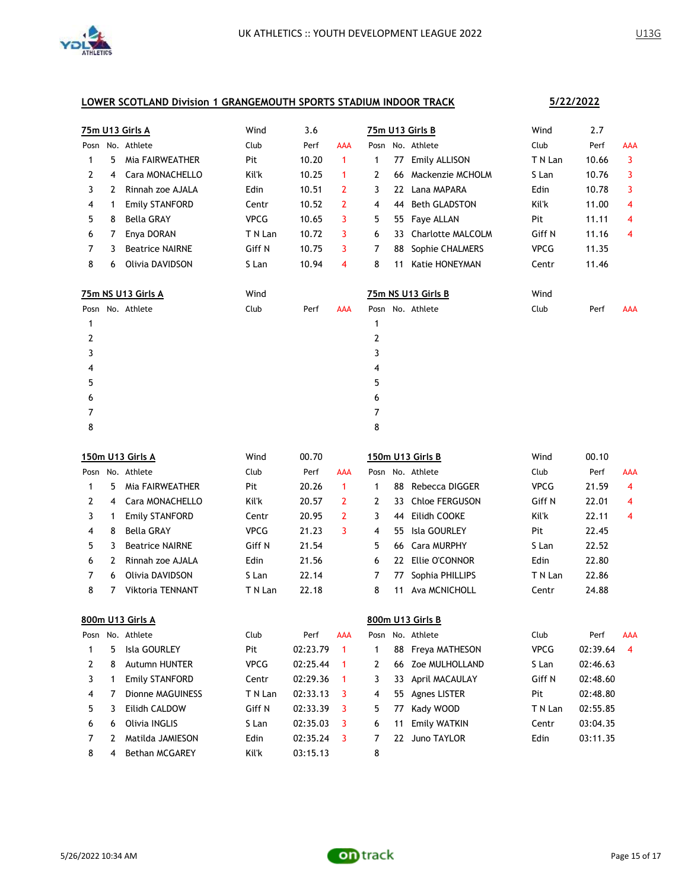

|      |   | <b>75m U13 Girls A</b> | Wind        | 3.6   |            | 75m U13 Girls B                     | Wind        | 2.7   |            |
|------|---|------------------------|-------------|-------|------------|-------------------------------------|-------------|-------|------------|
| Posn |   | No. Athlete            | Club        | Perf  | <b>AAA</b> | Posn No. Athlete                    | Club        | Perf  | AAA        |
| 1    | 5 | Mia FAIRWEATHER        | Pit         | 10.20 | 1          | Emily ALLISON<br>77<br>1            | T N Lan     | 10.66 | 3          |
| 2    | 4 | Cara MONACHELLO        | Kil'k       | 10.25 | 1          | Mackenzie MCHOLM<br>2<br>66         | S Lan       | 10.76 | 3          |
| 3    | 2 | Rinnah zoe AJALA       | Edin        | 10.51 | 2          | Lana MAPARA<br>22<br>3              | Edin        | 10.78 | 3          |
| 4    | 1 | <b>Emily STANFORD</b>  | Centr       | 10.52 | 2          | <b>Beth GLADSTON</b><br>4<br>44     | Kil'k       | 11.00 | 4          |
| 5    | 8 | <b>Bella GRAY</b>      | <b>VPCG</b> | 10.65 | 3          | Faye ALLAN<br>5<br>55               | Pit         | 11.11 | 4          |
| 6    | 7 | Enya DORAN             | T N Lan     | 10.72 | 3          | <b>Charlotte MALCOLM</b><br>6<br>33 | Giff N      | 11.16 | 4          |
| 7    | 3 | <b>Beatrice NAIRNE</b> | Giff N      | 10.75 | 3          | Sophie CHALMERS<br>7<br>88          | <b>VPCG</b> | 11.35 |            |
| 8    | 6 | Olivia DAVIDSON        | S Lan       | 10.94 | 4          | 8<br>Katie HONEYMAN<br>11           | Centr       | 11.46 |            |
|      |   | 75m NS U13 Girls A     | Wind        |       |            | 75m NS U13 Girls B                  | Wind        |       |            |
|      |   | Posn No. Athlete       | Club        | Perf  | <b>AAA</b> | Posn No. Athlete                    | Club        | Perf  | <b>AAA</b> |
| 1    |   |                        |             |       |            | 1                                   |             |       |            |
| 2    |   |                        |             |       |            | 2                                   |             |       |            |
| 3    |   |                        |             |       |            | 3                                   |             |       |            |
| 4    |   |                        |             |       |            | 4                                   |             |       |            |
| 5    |   |                        |             |       |            | 5                                   |             |       |            |
| 6    |   |                        |             |       |            | 6                                   |             |       |            |
| 7    |   |                        |             |       |            | 7                                   |             |       |            |
| 8    |   |                        |             |       |            | 8                                   |             |       |            |
|      |   | 150m U13 Girls A       | Wind        | 00.70 |            | 150m U13 Girls B                    | Wind        | 00.10 |            |
|      |   | Posn No. Athlete       | Club        | Perf  | <b>AAA</b> | Posn No. Athlete                    | Club        | Perf  | <b>AAA</b> |

| Posn |    | No. Athlete             | Club        | Perf  | AAA |    |    | Posn No. Athlete  | Club        | Perf  | <b>AAA</b> |
|------|----|-------------------------|-------------|-------|-----|----|----|-------------------|-------------|-------|------------|
|      | 5. | Mia FAIRWEATHER         | Pit         | 20.26 |     |    | 88 | Rebecca DIGGER    | <b>VPCG</b> | 21.59 | 4          |
|      |    | 4 Cara MONACHELLO       | Kil'k       | 20.57 |     | 2  |    | 33 Chloe FERGUSON | Giff N      | 22.01 | 4          |
|      |    | <b>Emily STANFORD</b>   | Centr       | 20.95 |     |    | 44 | Eilidh COOKE      | Kil'k       | 22.11 | 4          |
| 4    | 8  | Bella GRAY              | <b>VPCG</b> | 21.23 |     | 4  |    | 55 Isla GOURLEY   | Pit         | 22.45 |            |
| 5.   | 3  | <b>Beatrice NAIRNE</b>  | Giff N      | 21.54 |     | 5. |    | 66 Cara MURPHY    | S Lan       | 22.52 |            |
| 6.   |    | Rinnah zoe AJALA        | Edin        | 21.56 |     | 6  |    | 22 Ellie O'CONNOR | Edin        | 22.80 |            |
|      | 6  | Olivia DAVIDSON         | S Lan       | 22.14 |     |    | 77 | Sophia PHILLIPS   | T N Lan     | 22.86 |            |
| 8    |    | <b>Viktoria TENNANT</b> | T N Lan     | 22.18 |     | 8  | 11 | Ava MCNICHOLL     | Centr       | 24.88 |            |

|      | 800m U13 Girls A |                       |             |          |            |   | 800m U13 Girls B |                   |             |          |            |  |  |  |
|------|------------------|-----------------------|-------------|----------|------------|---|------------------|-------------------|-------------|----------|------------|--|--|--|
| Posn |                  | No. Athlete           | Club        | Perf     | <b>AAA</b> |   |                  | Posn No. Athlete  | Club        | Perf     | <b>AAA</b> |  |  |  |
|      | 5.               | Isla GOURLEY          | Pit         | 02:23.79 |            |   |                  | 88 Freya MATHESON | <b>VPCG</b> | 02:39.64 | 4          |  |  |  |
|      | 8                | <b>Autumn HUNTER</b>  | <b>VPCG</b> | 02:25.44 |            | 2 |                  | 66 Zoe MULHOLLAND | S Lan       | 02:46.63 |            |  |  |  |
| 3    |                  | Emily STANFORD        | Centr       | 02:29.36 |            | 3 | 33               | April MACAULAY    | Giff N      | 02:48.60 |            |  |  |  |
| 4    |                  | Dionne MAGUINESS      | T N Lan     | 02:33.13 |            | 4 | 55               | Agnes LISTER      | Pit         | 02:48.80 |            |  |  |  |
| 5.   |                  | Eilidh CALDOW         | Giff N      | 02:33.39 | - 3        | 5 | 77               | Kady WOOD         | T N Lan     | 02:55.85 |            |  |  |  |
| 6    | 6                | Olivia INGLIS         | S Lan       | 02:35.03 | -3         | 6 | 11               | Emily WATKIN      | Centr       | 03:04.35 |            |  |  |  |
|      |                  | Matilda JAMIESON      | Edin        | 02:35.24 | 3          |   | 22.              | Juno TAYLOR       | Edin        | 03:11.35 |            |  |  |  |
| 8    | 4                | <b>Bethan MCGAREY</b> | Kil'k       | 03:15.13 |            | 8 |                  |                   |             |          |            |  |  |  |

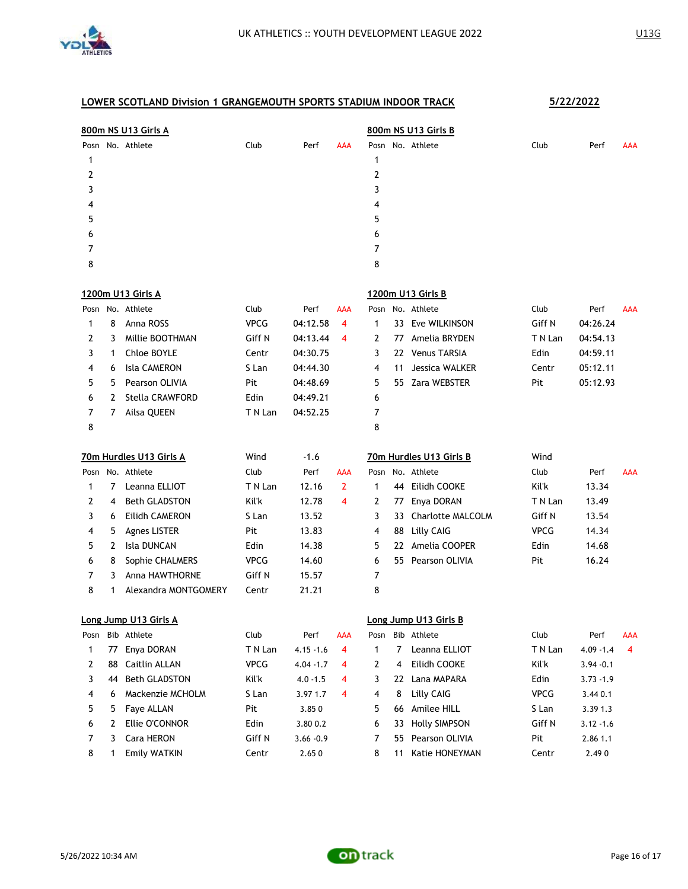

|      |    | 800m NS U13 Girls A     |              |              |     |      |    | 800m NS U13 Girls B     |             |              |     |
|------|----|-------------------------|--------------|--------------|-----|------|----|-------------------------|-------------|--------------|-----|
|      |    | Posn No. Athlete        | Club         | Perf         | AAA |      |    | Posn No. Athlete        | Club        | Perf         | AAA |
| 1    |    |                         |              |              |     | 1    |    |                         |             |              |     |
| 2    |    |                         |              |              |     | 2    |    |                         |             |              |     |
| 3    |    |                         |              |              |     | 3    |    |                         |             |              |     |
| 4    |    |                         |              |              |     | 4    |    |                         |             |              |     |
| 5    |    |                         |              |              |     | 5    |    |                         |             |              |     |
| 6    |    |                         |              |              |     | 6    |    |                         |             |              |     |
| 7    |    |                         |              |              |     | 7    |    |                         |             |              |     |
| 8    |    |                         |              |              |     | 8    |    |                         |             |              |     |
|      |    | 1200m U13 Girls A       |              |              |     |      |    | 1200m U13 Girls B       |             |              |     |
|      |    | Posn No. Athlete        | Club         | Perf         | AAA |      |    | Posn No. Athlete        | Club        | Perf         | AAA |
| 1    | 8  | Anna ROSS               | <b>VPCG</b>  | 04:12.58     | 4   | 1    |    | 33 Eve WILKINSON        | Giff N      | 04:26.24     |     |
| 2    | 3  | Millie BOOTHMAN         | Giff N       | 04:13.44     | 4   | 2    | 77 | Amelia BRYDEN           | T N Lan     | 04:54.13     |     |
| 3    | 1  | Chloe BOYLE             | Centr        | 04:30.75     |     | 3    |    | 22 Venus TARSIA         | Edin        | 04:59.11     |     |
| 4    | 6  | <b>Isla CAMERON</b>     | S Lan        | 04:44.30     |     | 4    | 11 | Jessica WALKER          | Centr       | 05:12.11     |     |
| 5    | 5  | Pearson OLIVIA          | Pit          | 04:48.69     |     | 5    | 55 | Zara WEBSTER            | Pit         | 05:12.93     |     |
| 6    | 2  | Stella CRAWFORD         | Edin         | 04:49.21     |     | 6    |    |                         |             |              |     |
| 7    | 7  | Ailsa QUEEN             | T N Lan      | 04:52.25     |     | 7    |    |                         |             |              |     |
| 8    |    |                         |              |              |     | 8    |    |                         |             |              |     |
|      |    |                         |              |              |     |      |    |                         |             |              |     |
|      |    | 70m Hurdles U13 Girls A | Wind         | $-1.6$       |     |      |    | 70m Hurdles U13 Girls B | Wind        |              |     |
|      |    | Posn No. Athlete        | Club         | Perf         | AAA |      |    | Posn No. Athlete        | Club        | Perf         | AAA |
| 1    | 7  | Leanna ELLIOT           | T N Lan      | 12.16        | 2   | 1    |    | 44 Eilidh COOKE         | Kil'k       | 13.34        |     |
| 2    | 4  | <b>Beth GLADSTON</b>    | <b>Kil'k</b> | 12.78        | 4   | 2    | 77 | Enya DORAN              | T N Lan     | 13.49        |     |
| 3    | 6  | Eilidh CAMERON          | S Lan        | 13.52        |     | 3    | 33 | Charlotte MALCOLM       | Giff N      | 13.54        |     |
| 4    | 5. | <b>Agnes LISTER</b>     | Pit          | 13.83        |     | 4    | 88 | <b>Lilly CAIG</b>       | <b>VPCG</b> | 14.34        |     |
| 5    | 2  | Isla DUNCAN             | Edin         | 14.38        |     | 5    |    | 22 Amelia COOPER        | Edin        | 14.68        |     |
| 6    | 8  | Sophie CHALMERS         | <b>VPCG</b>  | 14.60        |     | 6    |    | 55 Pearson OLIVIA       | Pit         | 16.24        |     |
| 7    | 3  | <b>Anna HAWTHORNE</b>   | Giff N       | 15.57        |     | 7    |    |                         |             |              |     |
| 8    | 1  | Alexandra MONTGOMERY    | Centr        | 21.21        |     | 8    |    |                         |             |              |     |
|      |    | Long Jump U13 Girls A   |              |              |     |      |    | Long Jump U13 Girls B   |             |              |     |
| Posn |    | Bib Athlete             | Club         | Perf         | AAA | Posn |    | Bib Athlete             | Club        | Perf         | AAA |
| 1    | 77 | Enya DORAN              | T N Lan      | $4.15 - 1.6$ | 4   | 1    | 7  | Leanna ELLIOT           | T N Lan     | $4.09 - 1.4$ | 4   |
| 2    | 88 | Caitlin ALLAN           | <b>VPCG</b>  | $4.04 - 1.7$ | 4   | 2    | 4  | Eilidh COOKE            | Kil'k       | $3.94 - 0.1$ |     |
| 3    | 44 | <b>Beth GLADSTON</b>    | Kil'k        | $4.0 - 1.5$  | 4   | 3    | 22 | Lana MAPARA             | Edin        | $3.73 - 1.9$ |     |
| 4    | 6  | Mackenzie MCHOLM        | S Lan        | 3.97 1.7     | 4   | 4    | 8  | Lilly CAIG              | <b>VPCG</b> | 3.44 0.1     |     |
| 5    | 5  | Faye ALLAN              | Pit          | 3.850        |     | 5    | 66 | Amilee HILL             | S Lan       | 3.39 1.3     |     |
| 6    | 2  | Ellie O'CONNOR          | Edin         | 3.80 0.2     |     | 6    | 33 | <b>Holly SIMPSON</b>    | Giff N      | $3.12 - 1.6$ |     |
| 7    | 3  | Cara HERON              | Giff N       | $3.66 - 0.9$ |     | 7    | 55 | Pearson OLIVIA          | Pit         | 2.86 1.1     |     |